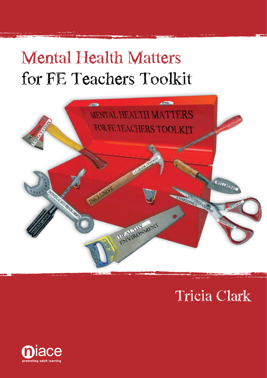# **Mental Health Matters for FE Teachers Toolkit**



# **Tricia Clark**

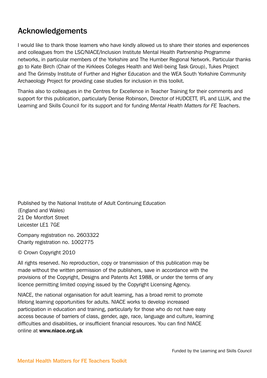## Acknowledgements

I would like to thank those learners who have kindly allowed us to share their stories and experiences and colleagues from the LSC/NIACE/Inclusion Institute Mental Health Partnership Programme networks, in particular members of the Yorkshire and The Humber Regional Network. Particular thanks go to Kate Birch (Chair of the Kirklees Colleges Health and Well-being Task Group), Tukes Project and The Grimsby Institute of Further and Higher Education and the WEA South Yorkshire Community Archaeology Project for providing case studies for inclusion in this toolkit.

Thanks also to colleagues in the Centres for Excellence in Teacher Training for their comments and support for this publication, particularly Denise Robinson, Director of HUDCETT, IFL and LLUK, and the Learning and Skills Council for its support and for funding *Mental Health Matters for FE Teachers*.

Published by the National Institute of Adult Continuing Education (England and Wales) 21 De Montfort Street Leicester LE1 7GE

Company registration no. 2603322 Charity registration no. 1002775

© Crown Copyright 2010

All rights reserved. No reproduction, copy or transmission of this publication may be made without the written permission of the publishers, save in accordance with the provisions of the Copyright, Designs and Patents Act 1988, or under the terms of any licence permitting limited copying issued by the Copyright Licensing Agency.

NIACE, the national organisation for adult learning, has a broad remit to promote lifelong learning opportunities for adults. NIACE works to develop increased participation in education and training, particularly for those who do not have easy access because of barriers of class, gender, age, race, language and culture, learning difficulties and disabilities, or insufficient financial resources. You can find NIACE online at www.niace.org.uk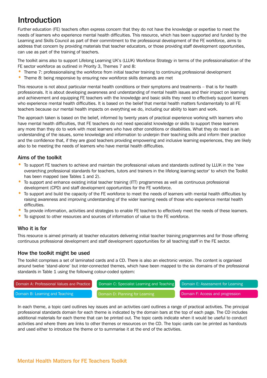## Introduction

Further education (FE) teachers often express concern that they do not have the knowledge or expertise to meet the needs of learners who experience mental health difficulties. This resource, which has been supported and funded by the Learning and Skills Council as part of their commitment to the professional development of the FE workforce, aims to address that concern by providing materials that teacher educators, or those providing staff development opportunities, can use as part of the training of teachers.

The toolkit aims also to support Lifelong Learning UK's (LLUK) Workforce Strategy in terms of the professionalisation of the FE sector workforce as outlined in Priority 3, Themes 7 and 8:

- Theme 7: professionalising the workforce from initial teacher training to continuing professional development
- Theme 8: being responsive by ensuring new workforce skills demands are met

This resource is not about particular mental health conditions or their symptoms and treatments – that is for health professionals. It is about developing awareness and understanding of mental health issues and their impact on learning and achievement and equipping FE teachers with the knowledge and basic skills they need to effectively support learners who experience mental health difficulties. It is based on the belief that mental health matters fundamentally to all FE teachers because our mental health impacts on everything we do, including our ability to learn and work.

The approach taken is based on the belief, informed by twenty years of practical experience working with learners who have mental health difficulties, that FE teachers do not need specialist knowledge or skills to support these learners any more than they do to work with most learners who have other conditions or disabilities. What they do need is an understanding of the issues, some knowledge and information to underpin their teaching skills and inform their practice and the confidence that, if they are good teachers providing empowering and inclusive learning experiences, they are likely also to be meeting the needs of learners who have mental health difficulties.

## Aims of the toolkit

- To support FE teachers to achieve and maintain the professional values and standards outlined by LLUK in the 'new overarching professional standards for teachers, tutors and trainers in the lifelong learning sector' to which the Toolkit has been mapped (see Tables 1 and 2).
- To support and enhance existing initial teacher training (ITT) programmes as well as continuous professional development (CPD) and staff development opportunities for the FE workforce.
- To support and build the capacity of the FE workforce to meet the needs of learners with mental health difficulties by raising awareness and improving understanding of the wider learning needs of those who experience mental health difficulties.
- To provide information, activities and strategies to enable FE teachers to effectively meet the needs of these learners.
- To signpost to other resources and sources of information of value to the FE workforce.

## Who it is for

This resource is aimed primarily at teacher educators delivering initial teacher training programmes and for those offering continuous professional development and staff development opportunities for all teaching staff in the FE sector.

### How the toolkit might be used

The toolkit comprises a set of laminated cards and a CD. There is also an electronic version. The content is organised around twelve 'stand-alone' but inter-connected themes, which have been mapped to the six domains of the professional standards in Table 1 using the following colour-coded system:



In each theme, a topic card outlines key issues and an activities card outlines a range of practical activities. The principal professional standards domain for each theme is indicated by the domain bars at the top of each page. The CD includes additional materials for each theme that can be printed out. The topic cards indicate when it would be useful to conduct activities and where there are links to other themes or resources on the CD. The topic cards can be printed as handouts and used either to introduce the theme or to summarise it at the end of the activities.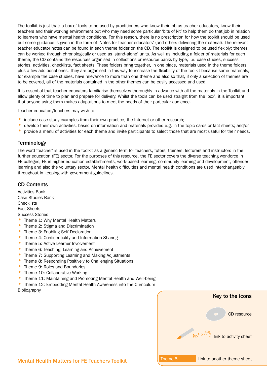The toolkit is just that: a box of tools to be used by practitioners who know their job as teacher educators, know their teachers and their working environment but who may need some particular 'bits of kit' to help them do that job in relation to learners who have mental health conditions. For this reason, there is no prescription for how the toolkit should be used but some guidance is given in the form of 'Notes for teacher educators' (and others delivering the material). The relevant teacher educator notes can be found in each theme folder on the CD. The toolkit is designed to be used flexibly: themes can be worked through chronologically or used as 'stand-alone' units. As well as including a folder of materials for each theme, the CD contains the resources organised in collections or resource banks by type, i.e. case studies, success stories, activities, checklists, fact sheets. These folders bring together, in one place, materials used in the theme folders plus a few additional ones. They are organised in this way to increase the flexibility of the toolkit because some materials, for example the case studies, have relevance to more than one theme and also so that, if only a selection of themes are to be covered, all of the materials contained in the other themes can be easily accessed and used.

It is essential that teacher educators familiarise themselves thoroughly in advance with all the materials in the Toolkit and allow plenty of time to plan and prepare for delivery. Whilst the tools can be used straight from the 'box', it is important that anyone using them makes adaptations to meet the needs of their particular audience.

Teacher educators/teachers may wish to:

- include case study examples from their own practice, the Internet or other research;
- develop their own activities, based on information and materials provided e.g. in the topic cards or fact sheets; and/or
- provide a menu of activities for each theme and invite participants to select those that are most useful for their needs.

#### **Terminology**

The word 'teacher' is used in the toolkit as a generic term for teachers, tutors, trainers, lecturers and instructors in the further education (FE) sector. For the purposes of this resource, the FE sector covers the diverse teaching workforce in FE colleges, FE in higher education establishments, work-based learning, community learning and development, offender learning and also the voluntary sector. Mental health difficulties and mental health conditions are used interchangeably throughout in keeping with government guidelines.

### CD Contents

Activities Bank Case Studies Bank **Checklists** Fact Sheets Success Stories

- Theme 1: Why Mental Health Matters • Theme 2: Stigma and Discrimination
- Theme 3: Enabling Self-Declaration
- Theme 4: Confidentiality and Information Sharing
- Theme 5: Active Learner Involvement
- Theme 6: Teaching, Learning and Achievement
- Theme 7: Supporting Learning and Making Adjustments
- Theme 8: Responding Positively to Challenging Situations
- Theme 9: Roles and Boundaries
- Theme 10: Collaborative Working
- Theme 11: Maintaining and Promoting Mental Health and Well-being
- Theme 12: Embedding Mental Health Awareness into the Curriculum Bibliography

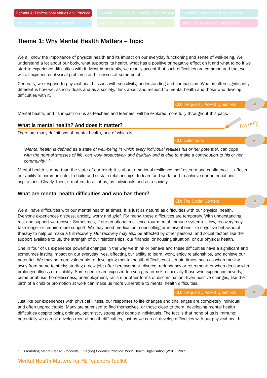## Theme 1: Why Mental Health Matters – Topic

We all know the importance of physical health and its impact on our everyday functioning and sense of well-being. We understand a lot about our body, what supports its health, what has a positive or negative effect on it and what to do if we start to experience difficulties with it. Most importantly, we readily accept that such difficulties are common and that we will all experience physical problems and illnesses at some point.

Generally, we respond to physical health issues with sensitivity, understanding and compassion. What is often significantly different is how we, as individuals and as a society, think about and respond to mental health and those who develop difficulties with it.

CD: Frequently Asked Questions

Activity

CD: Definitions

CD: The Social Context

Mental health, and its impact on us as teachers and learners, will be explored more fully throughout this pack.

#### What is mental health? And does it matter?

There are many definitions of mental health, one of which is:

*'Mental health is defined as a state of well-being in which every individual realises his or her potential, can cope*  with the normal stresses of life, can work productively and fruitfully and is able to make a contribution to his or her *community.' 1*

Mental health is more than the state of our mind; it is about emotional resilience, self-esteem and confidence. It affects our ability to communicate, to build and sustain relationships, to learn and work, and to achieve our potential and aspirations. Clearly, then, it matters to all of us, as individuals and as a society.

#### What are mental health difficulties and who has them?

We all have difficulties with our mental health at times. It is just as natural as difficulties with our physical health. Everyone experiences distress, anxiety, worry and grief. For many, these difficulties are temporary. With understanding, rest and support we recover. Sometimes, if our emotional resilience (our mental immune system) is low, recovery may take longer or require more support. We may need medication, counselling or interventions like cognitive behavioural therapy to help us make a full recovery. Our recovery may also be affected by other personal and social factors like the support available to us, the strength of our relationships, our financial or housing situation, or our physical health.

One in four of us experience powerful changes in the way we think or behave and these difficulties have a significant and sometimes lasting impact on our everyday lives, affecting our ability to learn, work, enjoy relationships, and achieve our potential. We may be more vulnerable to developing mental health difficulties at certain times, such as when moving away from home to study; starting a new job; after bereavement, divorce, redundancy or retirement; or when dealing with prolonged illness or disability. Some people are exposed to even greater risk, especially those who experience poverty, crime or abuse, homelessness, unemployment, racism or other forms of discrimination. Even positive changes, like the birth of a child or promotion at work can make us more vulnerable to mental health difficulties.

CD: Frequently Asked Questions

Just like our experiences with physical illness, our responses to life changes and challenges are completely individual and often unpredictable. Many are surprised to find themselves, or those close to them, developing mental health difficulties despite being ordinary, optimistic, strong and capable individuals. The fact is that none of us is immune; potentially we can all develop mental health difficulties, just as we can all develop difficulties with our physical health.

1 *Promoting Mental Health: Concepts, Emerging Evidence Practice*. World Health Organisation (WHO), 2005.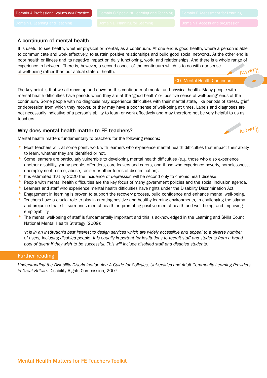#### A continuum of mental health

It is useful to see health, whether physical or mental, as a continuum. At one end is good health, where a person is able to communicate and work effectively, to sustain positive relationships and build good social networks. At the other end is poor health or illness and its negative impact on daily functioning, work, and relationships. And there is a whole range of experience in between. There is, however, a second aspect of the continuum which is to do with our sense of well-being rather than our actual state of health. Activit'

CD: Mental Health Continuum

The key point is that we all move up and down on this continuum of mental and physical health. Many people with mental health difficulties have periods when they are at the 'good health' or 'positive sense of well-being' ends of the continuum. Some people with no diagnosis may experience difficulties with their mental state, like periods of stress, grief or depression from which they recover, or they may have a poor sense of well-being at times. Labels and diagnoses are not necessarily indicative of a person's ability to learn or work effectively and may therefore not be very helpful to us as teachers.

#### Why does mental health matter to FE teachers?

Activity

Mental health matters fundamentally to teachers for the following reasons:

- Most teachers will, at some point, work with learners who experience mental health difficulties that impact their ability to learn, whether they are identified or not.
- Some learners are particularly vulnerable to developing mental health difficulties (e.g. those who also experience another disability, young people, offenders, care leavers and carers, and those who experience poverty, homelessness, unemployment, crime, abuse, racism or other forms of discrimination).
- It is estimated that by 2020 the incidence of depression will be second only to chronic heart disease.
- People with mental health difficulties are the key focus of many government policies and the social inclusion agenda.
- Learners and staff who experience mental health difficulties have rights under the Disability Discrimination Act.
- Engagement in learning is proven to support the recovery process, build confidence and enhance mental well-being.
- Teachers have a crucial role to play in creating positive and healthy learning environments, in challenging the stigma and prejudice that still surrounds mental health, in promoting positive mental health and well-being, and improving employability.
- The mental well-being of staff is fundamentally important and this is acknowledged in the Learning and Skills Council National Mental Health Strategy (2009):

*'It is in an institution's best interest to design services which are widely accessible and appeal to a diverse number of users, including disabled people. It is equally important for institutions to recruit staff and students from a broad pool of talent if they wish to be successful. This will include disabled staff and disabled students.'*

#### Further reading

*Understanding the Disability Discrimination Act: A Guide for Colleges, Universities and Adult Community Learning Providers in Great Britain*. Disability Rights Commission, 2007.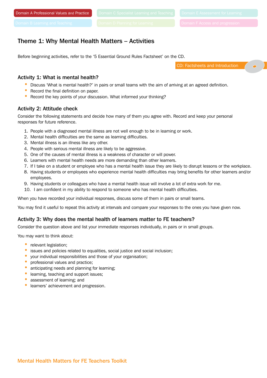## Theme 1: Why Mental Health Matters – Activities

Before beginning activities, refer to the '5 Essential Ground Rules Factsheet' on the CD.

CD: Factsheets and Introduction

#### Activity 1: What is mental health?

- Discuss 'What is mental health?' in pairs or small teams with the aim of arriving at an agreed definition.
- Record the final definition on paper.
- Record the key points of your discussion. What informed your thinking?

#### Activity 2: Attitude check

Consider the following statements and decide how many of them you agree with. Record and keep your personal responses for future reference.

- 1. People with a diagnosed mental illness are not well enough to be in learning or work.
- 2. Mental health difficulties are the same as learning difficulties.
- 3. Mental illness is an illness like any other.
- 4. People with serious mental illness are likely to be aggressive.
- 5. One of the causes of mental illness is a weakness of character or will power.
- 6. Learners with mental health needs are more demanding than other learners.
- 7. If I take on a student or employee who has a mental health issue they are likely to disrupt lessons or the workplace.
- 8. Having students or employees who experience mental health difficulties may bring benefits for other learners and/or employees.
- 9. Having students or colleagues who have a mental health issue will involve a lot of extra work for me.
- 10. I am confident in my ability to respond to someone who has mental health difficulties.

When you have recorded your individual responses, discuss some of them in pairs or small teams.

You may find it useful to repeat this activity at intervals and compare your responses to the ones you have given now.

### Activity 3: Why does the mental health of learners matter to FE teachers?

Consider the question above and list your immediate responses individually, in pairs or in small groups.

You may want to think about:

- relevant legislation;
- issues and policies related to equalities, social justice and social inclusion;
- your individual responsibilities and those of your organisation;
- professional values and practice;
- anticipating needs and planning for learning;
- learning, teaching and support issues;
- assessment of learning; and
- learners' achievement and progression.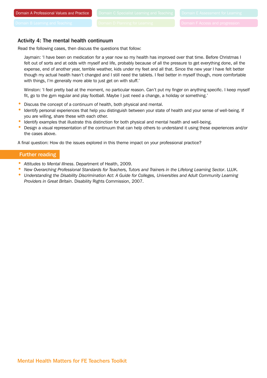#### Activity 4: The mental health continuum

Read the following cases, then discuss the questions that follow:

Jaymain: 'I have been on medication for a year now so my health has improved over that time. Before Christmas I felt out of sorts and at odds with myself and life, probably because of all the pressure to get everything done, all the expense, end of another year, terrible weather, kids under my feet and all that. Since the new year I have felt better though my actual health hasn't changed and I still need the tablets. I feel better in myself though, more comfortable with things, I'm generally more able to just get on with stuff.'

Winston: 'I feel pretty bad at the moment, no particular reason. Can't put my finger on anything specific. I keep myself fit, go to the gym regular and play football. Maybe I just need a change, a holiday or something.'

- Discuss the concept of a continuum of health, both physical and mental.
- Identify personal experiences that help you distinguish between your state of health and your sense of well-being. If you are willing, share these with each other.
- Identify examples that illustrate this distinction for both physical and mental health and well-being.
- Design a visual representation of the continuum that can help others to understand it using these experiences and/or the cases above.

A final question: How do the issues explored in this theme impact on your professional practice?

#### Further reading

- *Attitudes to Mental Illness*. Department of Health, 2009.
- *New Overarching Professional Standards for Teachers, Tutors and Trainers in the Lifelong Learning Sector*. LLUK.
- *Understanding the Disability Discrimination Act: A Guide for Colleges, Universities and Adult Community Learning Providers in Great Britain*. Disability Rights Commission, 2007.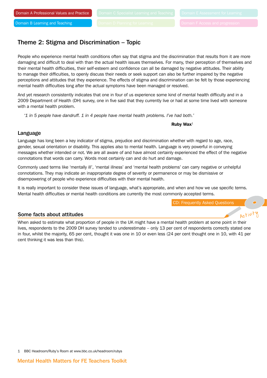## Theme 2: Stigma and Discrimination – Topic

People who experience mental health conditions often say that stigma and the discrimination that results from it are more damaging and difficult to deal with than the actual health issues themselves. For many, their perception of themselves and their mental health difficulties, their self-esteem and confidence can all be damaged by negative attitudes. Their ability to manage their difficulties, to openly discuss their needs or seek support can also be further impaired by the negative perceptions and attitudes that they experience. The effects of stigma and discrimination can be felt by those experiencing mental health difficulties long after the actual symptoms have been managed or resolved.

And yet research consistently indicates that one in four of us experience some kind of mental health difficulty and in a 2009 Department of Health (DH) survey, one in five said that they currently live or had at some time lived with someone with a mental health problem.

*'1 in 5 people have dandruff. 1 in 4 people have mental health problems. I've had both.'*

#### Ruby Wax<sup>1</sup>

#### Language

Language has long been a key indicator of stigma, prejudice and discrimination whether with regard to age, race, gender, sexual orientation or disability. This applies also to mental health. Language is very powerful in conveying messages whether intended or not. We are all aware of and have almost certainly experienced the effect of the negative connotations that words can carry. Words most certainly can and do hurt and damage.

Commonly used terms like 'mentally ill', 'mental illness' and 'mental health problems' can carry negative or unhelpful connotations. They may indicate an inappropriate degree of severity or permanence or may be dismissive or disempowering of people who experience difficulties with their mental health.

It is really important to consider these issues of language, what's appropriate, and when and how we use specific terms. Mental health difficulties or mental health conditions are currently the most commonly accepted terms.

CD: Frequently Asked Questions

Activity

#### Some facts about attitudes

When asked to estimate what proportion of people in the UK might have a mental health problem at some point in their lives, respondents to the 2009 DH survey tended to underestimate – only 13 per cent of respondents correctly stated one in four, whilst the majority, 65 per cent, thought it was one in 10 or even less (24 per cent thought one in 10, with 41 per cent thinking it was less than this).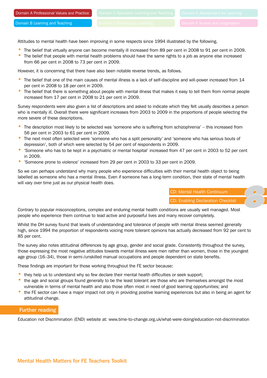Attitudes to mental health have been improving in some respects since 1994 illustrated by the following.

- The belief that virtually anyone can become mentally ill increased from 89 per cent in 2008 to 91 per cent in 2009.
- The belief that people with mental health problems should have the same rights to a job as anyone else increased from 66 per cent in 2008 to 73 per cent in 2009.

However, it is concerning that there have also been notable reverse trends, as follows.

- The belief that one of the main causes of mental illness is a lack of self-discipline and will-power increased from 14 per cent in 2008 to 18 per cent in 2009.
- The belief that there is something about people with mental illness that makes it easy to tell them from normal people increased from 17 per cent in 2008 to 21 per cent in 2009.

Survey respondents were also given a list of descriptions and asked to indicate which they felt usually describes a person who is mentally ill. Overall there were significant increases from 2003 to 2009 in the proportions of people selecting the more severe of these descriptions.

- The description most likely to be selected was 'someone who is suffering from schizophrenia' this increased from 56 per cent in 2003 to 61 per cent in 2009.
- The next most often selected were 'someone who has a split personality' and 'someone who has serious bouts of depression', both of which were selected by 54 per cent of respondents in 2009.
- 'Someone who has to be kept in a psychiatric or mental hospital' increased from 47 per cent in 2003 to 52 per cent in 2009.
- 'Someone prone to violence' increased from 29 per cent in 2003 to 33 per cent in 2009.

So we can perhaps understand why many people who experience difficulties with their mental health object to being labelled as someone who has a mental illness. Even if someone has a long-term condition, their state of mental health will vary over time just as our physical health does.

> CD: Mental Health Continuum CD: Enabling Declaration Checklist

Contrary to popular misconceptions, complex and enduring mental health conditions are usually well managed. Most people who experience them continue to lead active and purposeful lives and many recover completely.

Whilst the DH survey found that levels of understanding and tolerance of people with mental illness seemed generally high, since 1994 the proportion of respondents voicing more tolerant opinions has actually decreased from 92 per cent to 85 per cent.

The survey also notes attitudinal differences by age group, gender and social grade. Consistently throughout the survey, those expressing the most negative attitudes towards mental illness were men rather than women, those in the youngest age group (16–34), those in semi-/unskilled manual occupations and people dependent on state benefits.

These findings are important for those working throughout the FE sector because:

- they help us to understand why so few declare their mental health difficulties or seek support;
- the age and social groups found generally to be the least tolerant are those who are themselves amongst the most vulnerable in terms of mental health and also those often most in need of good learning opportunities; and
- the FE sector can have a major impact not only in providing positive learning experiences but also in being an agent for attitudinal change.

#### Further reading

Education not Discrimination (END) website at: www.time-to-change.org.uk/what-were-doing/education-not-discrimination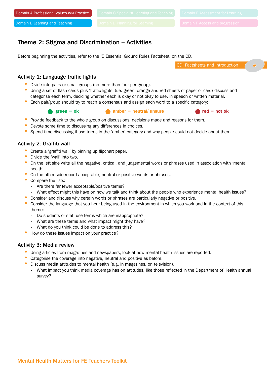## Theme 2: Stigma and Discrimination – Activities

Before beginning the activities, refer to the '5 Essential Ground Rules Factsheet' on the CD.

CD: Factsheets and Introduction

#### Activity 1: Language traffic lights

- Divide into pairs or small groups (no more than four per group).
- Using a set of flash cards plus 'traffic lights' (i.e. green, orange and red sheets of paper or card) discuss and categorise each term, deciding whether each is okay or not okay to use, in speech or written material.
- Each pair/group should try to reach a consensus and assign each word to a specific category:
	-

green = ok  $\bullet$  amber = neutral/ unsure  $\bullet$  red = not ok



- Provide feedback to the whole group on discussions, decisions made and reasons for them.
- Devote some time to discussing any differences in choices.
- Spend time discussing those terms in the 'amber' category and why people could not decide about them.

#### Activity 2: Graffiti wall

- Create a 'graffiti wall' by pinning up flipchart paper.
- Divide the 'wall' into two.
- On the left side write all the negative, critical, and judgemental words or phrases used in association with 'mental health'.
- On the other side record acceptable, neutral or positive words or phrases.
- Compare the lists:
	- Are there far fewer acceptable/positive terms?
	- What effect might this have on how we talk and think about the people who experience mental health issues?
- Consider and discuss why certain words or phrases are particularly negative or positive.
- Consider the language that you hear being used in the environment in which you work and in the context of this theme:
	- Do students or staff use terms which are inappropriate?
	- What are these terms and what impact might they have?
	- What do you think could be done to address this?
- How do these issues impact on your practice?

#### Activity 3: Media review

- Using articles from magazines and newspapers, look at how mental health issues are reported.
- Categorise the coverage into negative, neutral and positive as before.
- Discuss media attitudes to mental health (e.g. in magazines, on television).
- What impact you think media coverage has on attitudes, like those reflected in the Department of Health annual survey?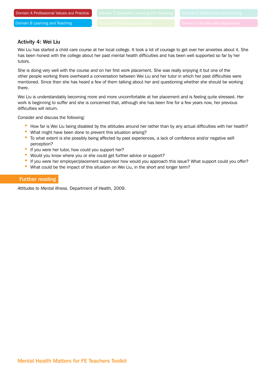#### Activity 4: Wei Liu

Wei Liu has started a child care course at her local college. It took a lot of courage to get over her anxieties about it. She has been honest with the college about her past mental health difficulties and has been well supported so far by her tutors.

She is doing very well with the course and on her first work placement. She was really enjoying it but one of the other people working there overheard a conversation between Wei Liu and her tutor in which her past difficulties were mentioned. Since then she has heard a few of them talking about her and questioning whether she should be working there.

Wei Liu is understandably becoming more and more uncomfortable at her placement and is feeling quite stressed. Her work is beginning to suffer and she is concerned that, although she has been fine for a few years now, her previous difficulties will return.

Consider and discuss the following:

- How far is Wei Liu being disabled by the attitudes around her rather than by any actual difficulties with her health?
- What might have been done to prevent this situation arising?
- To what extent is she possibly being affected by past experiences, a lack of confidence and/or negative selfperception?
- If you were her tutor, how could you support her?
- Would you know where you or she could get further advice or support?
- If you were her employer/placement supervisor how would you approach this issue? What support could you offer?
- What could be the impact of this situation on Wei Liu, in the short and longer term?

#### Further reading

*Attitudes to Mental Illness.* Department of Health, 2009.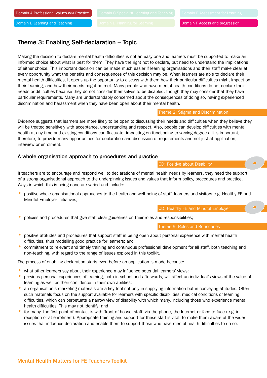## Theme 3: Enabling Self-declaration – Topic

Making the decision to declare mental health difficulties is not an easy one and learners must be supported to make an informed choice about what is best for them. They have the right not to declare, but need to understand the implications of either choice. This important decision can be made much easier if learning organisations and their staff make clear at every opportunity what the benefits and consequences of this decision may be. When learners are able to declare their mental health difficulties, it opens up the opportunity to discuss with them how their particular difficulties might impact on their learning, and how their needs might be met. Many people who have mental health conditions do not declare their needs or difficulties because they do not consider themselves to be disabled, though they may consider that they have particular requirements. Many are understandably concerned about the consequences of doing so, having experienced discrimination and harassment when they have been open about their mental health.

Theme 2: Stigma and Discrimination

Evidence suggests that learners are more likely to be open to discussing their needs and difficulties when they believe they will be treated sensitively with acceptance, understanding and respect. Also, people can develop difficulties with mental health at any time and existing conditions can fluctuate, impacting on functioning to varying degrees. It is important, therefore, to provide many opportunities for declaration and discussion of requirements and not just at application, interview or enrolment.

#### A whole organisation approach to procedures and practice

If teachers are to encourage and respond well to declarations of mental health needs by learners, they need the support of a strong organisational approach to the underpinning issues and values that inform policy, procedures and practice. Ways in which this is being done are varied and include:

• positive whole organisational approaches to the health and well-being of staff, learners and visitors e.g. Healthy FE and Mindful Employer initiatives;

CD: Healthy FE and Mindful Employer

• policies and procedures that give staff clear guidelines on their roles and responsibilities;

Theme 9: Roles and Boundaries

CD: Positive about Disability

- positive attitudes and procedures that support staff in being open about personal experience with mental health difficulties, thus modelling good practice for learners; and
- commitment to relevant and timely training and continuous professional development for all staff, both teaching and non-teaching, with regard to the range of issues explored in this toolkit.

The process of enabling declaration starts even before an application is made because:

- what other learners say about their experience may influence potential learners' views;
- previous personal experiences of learning, both in school and afterwards, will affect an individual's views of the value of learning as well as their confidence in their own abilities;
- an organisation's marketing materials are a key tool not only in supplying information but in conveying attitudes. Often such materials focus on the support available for learners with specific disabilities, medical conditions or learning difficulties, which can perpetuate a narrow view of disability with which many, including those who experience mental health difficulties. This may not identify; and
- for many, the first point of contact is with 'front of house' staff, via the phone, the Internet or face to face (e.g. in reception or at enrolment). Appropriate training and support for these staff is vital, to make them aware of the wider issues that influence declaration and enable them to support those who have mental health difficulties to do so.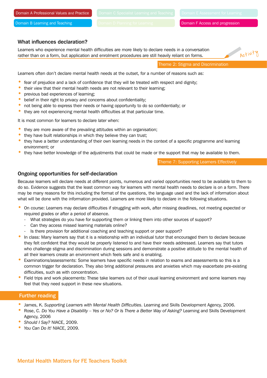Domain F Access and progression

#### What influences declaration?

Learners who experience mental health difficulties are more likely to declare needs in a conversation rather than on a form, but application and enrolment procedures are still heavily reliant on forms.

Activity

Theme 2: Stigma and Discrimination

Learners often don't declare mental health needs at the outset, for a number of reasons such as:

- fear of prejudice and a lack of confidence that they will be treated with respect and dignity;
- their view that their mental health needs are not relevant to their learning;
- previous bad experiences of learning;
- belief in their right to privacy and concerns about confidentiality;
- not being able to express their needs or having opportunity to do so confidentially; or
- they are not experiencing mental health difficulties at that particular time.

It is most common for learners to declare later when:

- they are more aware of the prevailing attitudes within an organisation;
- they have built relationships in which they believe they can trust;
- they have a better understanding of their own learning needs in the context of a specific programme and learning environment; or
- they have better knowledge of the adjustments that could be made or the support that may be available to them.

Theme 7: Supporting Learners Effectively

#### Ongoing opportunities for self-declaration

Because learners will declare needs at different points, numerous and varied opportunities need to be available to them to do so. Evidence suggests that the least common way for learners with mental health needs to declare is on a form. There may be many reasons for this including the format of the questions, the language used and the lack of information about what will be done with the information provided. Learners are more likely to declare in the following situations.

- On course: Learners may declare difficulties if struggling with work, after missing deadlines, not meeting expected or required grades or after a period of absence.
	- What strategies do you have for supporting them or linking them into other sources of support?
	- Can they access missed learning materials online?
	- Is there provision for additional coaching and teaching support or peer support?
- In class: Many learners say that it is a relationship with an individual tutor that encouraged them to declare because they felt confident that they would be properly listened to and have their needs addressed. Learners say that tutors who challenge stigma and discrimination during sessions and demonstrate a positive attitude to the mental health of all their learners create an environment which feels safe and is enabling.
- Examinations/assessments: Some learners have specific needs in relation to exams and assessments so this is a common trigger for declaration. They also bring additional pressures and anxieties which may exacerbate pre-existing difficulties, such as with concentration.
- Field trips and work placements: These take learners out of their usual learning environment and some learners may feel that they need support in these new situations.

#### Further reading

- James, K. *Supporting Learners with Mental Health Difficulties*. Learning and Skills Development Agency, 2006.
- Rose, C. *Do You Have a Disability Yes or No? Or Is There a Better Way of Asking?* Learning and Skills Development Agency, 2006
- *Should I Say?* NIACE, 2009.
- *You Can Do It!* NIACE, 2009.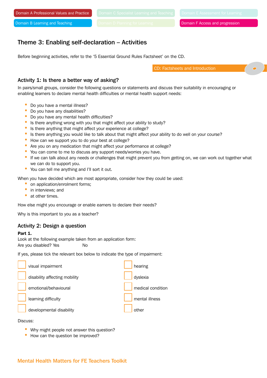## Theme 3: Enabling self-declaration – Activities

Before beginning activities, refer to the '5 Essential Ground Rules Factsheet' on the CD.

CD: Factsheets and Introduction

#### Activity 1: Is there a better way of asking?

In pairs/small groups, consider the following questions or statements and discuss their suitability in encouraging or enabling learners to declare mental health difficulties or mental health support needs:

- Do you have a mental illness?
- Do you have any disabilities?
- Do you have any mental health difficulties?
- Is there anything wrong with you that might affect your ability to study?
- Is there anything that might affect your experience at college?
- Is there anything you would like to talk about that might affect your ability to do well on your course?
- How can we support you to do your best at college?
- Are you on any medication that might affect your performance at college?
- You can come to me to discuss any support needs/worries you have.
- If we can talk about any needs or challenges that might prevent you from getting on, we can work out together what we can do to support you.
- You can tell me anything and I'll sort it out.

When you have decided which are most appropriate, consider how they could be used:

- on application/enrolment forms;
- in interviews; and
- at other times.

How else might you encourage or enable earners to declare their needs?

Why is this important to you as a teacher?

#### Activity 2: Design a question

#### Part 1.

Look at the following example taken from an application form: Are you disabled? Yes No

If yes, please tick the relevant box below to indicate the type of impairment:

| visual impairment             | hearing                    |
|-------------------------------|----------------------------|
| disability affecting mobility | dyslexia                   |
| emotional/behavioural         | medical condition          |
| learning difficulty           | $\sqrt{\ }$ mental illness |
| developmental disability      | other                      |

#### Discuss:

- Why might people not answer this question?
- How can the question be improved?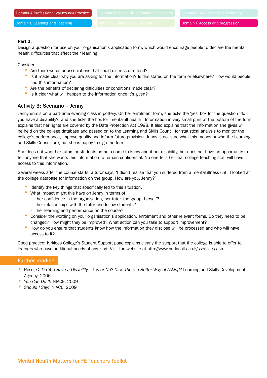#### Part 2.

Design a question for use on your organisation's application form, which would encourage people to declare the mental health difficulties that affect their learning.

Consider:

- Are there words or associations that could distress or offend?
- Is it made clear why you are asking for the information? Is this stated on the form or elsewhere? How would people find this information?
- Are the benefits of declaring difficulties or conditions made clear?
- Is it clear what will happen to the information once it's given?

#### Activity 3: Scenario – Jenny

Jenny enrols on a part-time evening class in pottery. On her enrolment form, she ticks the 'yes' box for the question 'do you have a disability?' and she ticks the box for 'mental ill health'. Information in very small print at the bottom of the form explains that her rights are covered by the Data Protection Act 1998. It also explains that the information she gives will be held on the college database and passed on to the Learning and Skills Council for statistical analysis to monitor the college's performance, improve quality and inform future provision. Jenny is not sure what this means or who the Learning and Skills Council are, but she is happy to sign the form.

She does not want her tutors or students on her course to know about her disability, but does not have an opportunity to tell anyone that she wants this information to remain confidential. No one tells her that college teaching staff will have access to this information.

Several weeks after the course starts, a tutor says, 'I didn't realise that you suffered from a mental illness until I looked at the college database for information on the group. How are you, Jenny?'

- Identify the key things that specifically led to this situation.
- What impact might this have on Jenny in terms of
	- her confidence in the organisation, her tutor, the group, herself?
	- her relationships with the tutor and fellow students?
	- her learning and performance on the course?
- Consider the wording on your organisation's application, enrolment and other relevant forms. Do they need to be changed? How might they be improved? What action can you take to support improvement?
- How do you ensure that students know how the information they disclose will be processed and who will have access to it?

Good practice: Kirklees College's Student Support page explains clearly the support that the college is able to offer to learners who have additional needs of any kind. Visit the website at http://www.huddcoll.ac.uk/sservices.asp.

#### Further reading

- Rose, C. *Do You Have a Disability Yes or No? Or Is There a Better Way of Asking?* Learning and Skills Development Agency, 2006
- *You Can Do It!* NIACE, 2009
- *Should I Say?* NIACE, 2009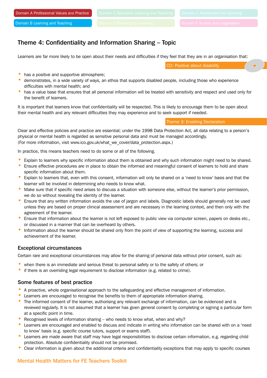```
Domain B Learning and Teaching
```
## Theme 4: Confidentiality and Information Sharing – Topic

Learners are far more likely to be open about their needs and difficulties if they feel that they are in an organisation that:

CD: Positive about disability

- has a positive and supportive atmosphere;
- demonstrates, in a wide variety of ways, an ethos that supports disabled people, including those who experience difficulties with mental health; and
- has a value base that ensures that all personal information will be treated with sensitivity and respect and used only for the benefit of learners.

It is important that learners know that confidentiality will be respected. This is likely to encourage them to be open about their mental health and any relevant difficulties they may experience and to seek support if needed.

Theme 3: Enabling Declaration

Clear and effective policies and practice are essential; under the 1998 Data Protection Act, all data relating to a person's physical or mental health is regarded as sensitive personal data and must be managed accordingly. (For more information, visit www.ico.gov.uk/what\_we\_cover/data\_protection.aspx.)

In practice, this means teachers need to do some or all of the following.

- Explain to learners why specific information about them is obtained and why such information might need to be shared.
- Ensure effective procedures are in place to obtain the informed and meaningful consent of learners to hold and share specific information about them.
- Explain to learners that, even with this consent, information will only be shared on a 'need to know' basis and that the learner will be involved in determining who needs to know what.
- Make sure that if specific need arises to discuss a situation with someone else, without the learner's prior permission, we do so without revealing the identity of the learner.
- Ensure that any written information avoids the use of jargon and labels. Diagnostic labels should generally not be used unless they are based on proper clinical assessment and are necessary in the learning context, and then only with the agreement of the learner.
- Ensure that information about the learner is not left exposed to public view via computer screen, papers on desks etc., or discussed in a manner that can be overheard by others.
- Information about the learner should be shared only from the point of view of supporting the learning, success and achievement of the learner.

#### Exceptional circumstances

Certain rare and exceptional circumstances may allow for the sharing of personal data without prior consent, such as:

- when there is an immediate and serious threat to personal safety or to the safety of others; or
- if there is an overriding legal requirement to disclose information (e.g. related to crime).

#### Some features of best practice

- A proactive, whole organisational approach to the safeguarding and effective management of information.
- Learners are encouraged to recognise the benefits to them of appropriate information sharing.
- The informed consent of the learner, authorising any relevant exchange of information, can be evidenced and is reviewed regularly. It is not assumed that a learner has given general consent by completing or signing a particular form at a specific point in time.
- Recognised levels of information sharing who needs to know what, when and why?
- Learners are encouraged and enabled to discuss and indicate in writing who information can be shared with on a 'need to know' basis (e.g. specific course tutors, support or exams staff).
- Learners are made aware that staff may have legal responsibilities to disclose certain information, e.g. regarding child protection. Absolute confidentiality should not be promised.
- Clear information is given about the additional criteria and confidentiality exceptions that may apply to specific courses

#### Mental Health Matters for FE Teachers Toolkit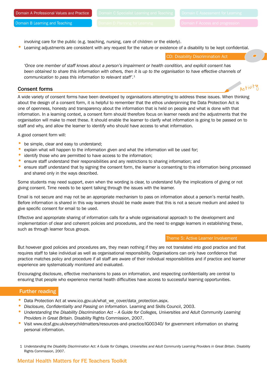$A$ ivity

Domain B Learning and Teaching

involving care for the public (e.g. teaching, nursing, care of children or the elderly).

• Learning adjustments are consistent with any request for the nature or existence of a disability to be kept confidential.

CD: Disability Discrimination Act

*'Once one member of staff knows about a person's impairment or health condition, and explicit consent has*  been obtained to share this information with others, then it is up to the organisation to have effective channels of *communication to pass this information to relevant staff'.*<sup>1</sup>

#### Consent forms

A wide variety of consent forms have been developed by organisations attempting to address these issues. When thinking about the design of a consent form, it is helpful to remember that the ethos underpinning the Data Protection Act is one of openness, honesty and transparency about the information that is held on people and what is done with that information. In a learning context, a consent form should therefore focus on learner needs and the adjustments that the organisation will make to meet these. It should enable the learner to clarify what information is going to be passed on to staff and why, and allow the learner to identify who should have access to what information.

A good consent form will:

- be simple, clear and easy to understand;
- explain what will happen to the information given and what the information will be used for;
- identify those who are permitted to have access to the information;
- ensure staff understand their responsibilities and any restrictions to sharing information; and
- ensure staff understand that by signing the consent form, the learner is consenting to this information being processed and shared only in the ways described.

Some students may need support, even when the wording is clear, to understand fully the implications of giving or not giving consent. Time needs to be spent talking through the issues with the learner.

Email is not secure and may not be an appropriate mechanism to pass on information about a person's mental health. Before information is shared in this way learners should be made aware that this is not a secure medium and asked to give specific consent for email to be used.

Effective and appropriate sharing of information calls for a whole organisational approach to the development and implementation of clear and coherent policies and procedures, and the need to engage learners in establishing these, such as through learner focus groups.

#### Theme 5: Active Learner Involvement

But however good policies and procedures are, they mean nothing if they are not translated into good practice and that requires staff to take individual as well as organisational responsibility. Organisations can only have confidence that practice matches policy and procedure if all staff are aware of their individual responsibilities and if practice and learner experience are systematically monitored and evaluated.

Encouraging disclosure, effective mechanisms to pass on information, and respecting confidentiality are central to ensuring that people who experience mental health difficulties have access to successful learning opportunities.

#### Further reading

- Data Protection Act at www.ico.gov.uk/what we cover/data protection.aspx.
- *Disclosure, Confidentiality and Passing on Information.* Learning and Skills Council, 2003.
- *Understanding the Disability Discrimination Act A Guide for Colleges, Universities and Adult Community Learning Providers in Great Britain.* Disability Rights Commission, 2007.
- Visit www.dcsf.gov.uk/everychildmatters/resources-and-practice/IG00340/ for government information on sharing personal information.
- 1 *Understanding the Disability Discrimination Act: A Guide for Colleges, Universities and Adult Community Learning Providers in Great Britain.* Disability Rights Commission, 2007.

## Mental Health Matters for FE Teachers Toolkit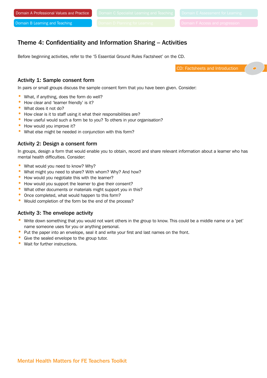## Theme 4: Confidentiality and Information Sharing – Activities

Before beginning activities, refer to the '5 Essential Ground Rules Factsheet' on the CD.

CD: Factsheets and Introduction

#### Activity 1: Sample consent form

In pairs or small groups discuss the sample consent form that you have been given. Consider:

- What, if anything, does the form do well?
- How clear and 'learner friendly' is it?
- What does it not do?
- How clear is it to staff using it what their responsibilities are?
- How useful would such a form be to you? To others in your organisation?
- How would you improve it?
- What else might be needed in conjunction with this form?

#### Activity 2: Design a consent form

In groups, design a form that would enable you to obtain, record and share relevant information about a learner who has mental health difficulties. Consider:

- What would you need to know? Why?
- What might you need to share? With whom? Why? And how?
- How would you negotiate this with the learner?
- How would you support the learner to give their consent?
- What other documents or materials might support you in this?
- Once completed, what would happen to this form?
- Would completion of the form be the end of the process?

#### Activity 3: The envelope activity

- Write down something that you would not want others in the group to know. This could be a middle name or a 'pet' name someone uses for you or anything personal.
- Put the paper into an envelope, seal it and write your first and last names on the front.
- Give the sealed envelope to the group tutor.
- Wait for further instructions.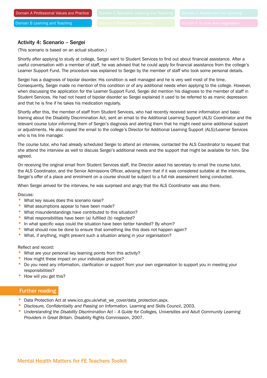#### Activity 4: Scenario – Sergei

(This scenario is based on an actual situation.)

Shortly after applying to study at college, Sergei went to Student Services to find out about financial assistance. After a useful conversation with a member of staff, he was advised that he could apply for financial assistance from the college's Learner Support Fund. The procedure was explained to Sergei by the member of staff who took some personal details.

Sergei has a diagnosis of bipolar disorder. His condition is well managed and he is very well most of the time. Consequently, Sergei made no mention of this condition or of any additional needs when applying to the college. However, when discussing the application for the Learner Support Fund, Sergei did mention his diagnosis to the member of staff in Student Services. He had not heard of bipolar disorder so Sergei explained it used to be referred to as manic depression and that he is fine if he takes his medication regularly.

Shortly after this, the member of staff from Student Services, who had recently received some information and basic training about the Disability Discrimination Act, sent an email to the Additional Learning Support (ALS) Coordinator and the relevant course tutor informing them of Sergei's diagnosis and alerting them that he might need some additional support or adjustments. He also copied the email to the college's Director for Additional Learning Support (ALS)/Learner Services who is his line manager.

The course tutor, who had already scheduled Sergei to attend an interview, contacted the ALS Coordinator to request that she attend the interview as well to discuss Sergei's additional needs and the support that might be available for him. She agreed.

On receiving the original email from Student Services staff, the Director asked his secretary to email the course tutor, the ALS Coordinator, and the Senior Admissions Officer, advising them that if it was considered suitable at the interview, Sergei's offer of a place and enrolment on a course should be subject to a full risk assessment being conducted.

When Sergei arrived for the interview, he was surprised and angry that the ALS Coordinator was also there.

#### Discuss:

- What key issues does this scenario raise?
- What assumptions appear to have been made?
- What misunderstandings have contributed to this situation?
- What responsibilities have been (a) fulfilled (b) neglected?
- In what specific ways could the situation have been better handled? By whom?
- What should now be done to ensure that something like this does not happen again?
- What, if anything, might prevent such a situation arising in your organisation?

#### Reflect and record:

- What are your personal key learning points from this activity?
- How might these impact on your individual practice?
- Do you need any information, clarification or support from your own organisation to support you in meeting your responsibilities?
- How will you get this?

#### Further reading

- Data Protection Act at www.ico.gov.uk/what\_we\_cover/data\_protection.aspx.
- *Disclosure, Confidentiality and Passing on Information.* Learning and Skills Council, 2003.
- *Understanding the Disability Discrimination Act A Guide for Colleges, Universities and Adult Community Learning Providers in Great Britain.* Disability Rights Commission, 2007.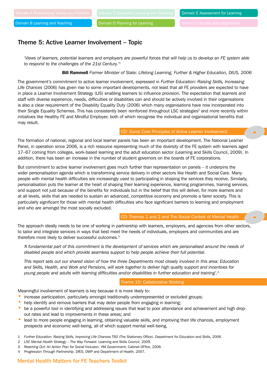Domain D Planning for Learning

## Theme 5: Active Learner Involvement – Topic

*'Views of learners, potential learners and employers are powerful forces that will help us to develop an FE system able to respond to the challenges of the 21st Century.'*<sup>1</sup>

#### Bill Rammell *Former Minister of State: Lifelong Learning, Further & Higher Education, DIUS, 2006*

The government's commitment to active learner involvement, expressed in *Further Education: Raising Skills, Increasing Life Chances* (2006) has given rise to some important developments, not least that all FE providers are expected to have in place a Learner Involvement Strategy (LIS) enabling learners to influence provision. The expectation that learners and staff with diverse experience, needs, difficulties or disabilities can and should be actively involved in their organisations is also a clear requirement of the Disability Equality Duty (2006) which many organisations have now incorporated into their Single Equality Schemes. This has consistently been reinforced throughout LSC strategies<sup>2</sup> and more recently within initiatives like Healthy FE and Mindful Employer, both of which recognise the individual and organisational benefits that may result.

#### CD: Some Core Principles of Active Learner Involvement

The formation of national, regional and local learner panels has been an important development. The National Learner Panel, in operation since 2006, is a rich resource representing much of the diversity of the FE system with learners aged 17–67 coming from colleges, work-based learning and the adult education sector (Learning and Skills Council, 2009). In addition, there has been an increase in the number of student governors on the boards of FE corporations.

But commitment to active learner involvement goes much further than representation on panels – it underpins the wider personalisation agenda which is transforming service delivery in other sectors like Health and Social Care. Many people with mental health difficulties are increasingly used to participating in shaping the services they receive. Similarly, personalisation puts the learner at the heart of shaping their learning experience, learning programmes, training services, and support not just because of the benefits for individuals but in the belief that this will deliver, for more learners and at all levels, skills that are needed to sustain an advanced, competitive economy and promote a fairer society. This is particularly significant for those with mental health difficulties who face significant barriers to learning and employment and who are amongst the most socially excluded.

CD: Themes 1 and 2 and The Social Context of Mental Health

The approach ideally needs to be one of working in partnership with learners, employers, and agencies from other sectors, to tailor and integrate services in ways that best meet the needs of individuals, employers and communities and are therefore more likely to deliver successful outcomes.<sup>3</sup>

*'A fundamental part of this commitment is the development of services which are personalised around the needs of disabled people and which provide seamless support to help people achieve their full potential.*

*This report sets out our shared vision of how the three Departments most closely involved in this area: Education and Skills, Health, and Work and Pensions, will work together to deliver high quality support and incentives for young people and adults with learning difficulties and/or disabilities in further education and training'.4*

#### Theme 10: Collaborative Working

Meaningful involvement of learners is key because it is more likely to:

- increase participation, particularly amongst traditionally underrepresented or excluded groups;
- help identify and remove barriers that may deter people from engaging in learning;
- be a powerful tool in identifying and addressing issues that lead to poor attendance and achievement and high dropout rates and lead to improvements in these areas; and
- lead to more people engaging in learning, obtaining valuable skills, and improving their life chances, employment prospects and economic well-being, all of which support mental well-being.
- 1 *Further Education: Raising Skills, Improving Life Chances* TSO (The Stationery Office). Department for Education and Skills, 2006.
- 2 *LSC Mental Health Strategy The Way Forward*. Learning and Skills Council, 2009.
- 3 *Reaching Out: An Action Plan for Social Inclusion*. HM Government, Cabinet OFfice, 2006.
- 4 *Progression Through Partnership*. DfES, DWP and Department of Health, 2007.

#### Mental Health Matters for FE Teachers Toolkit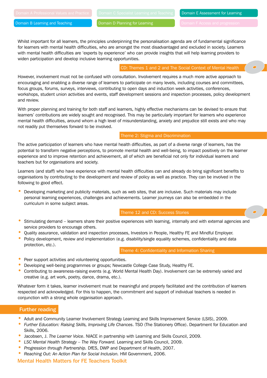Domain E Assessment for Learning

Domain B Learning and Teaching

Domain D Planning for Learning

Whilst important for all learners, the principles underpinning the personalisation agenda are of fundamental significance for learners with mental health difficulties, who are amongst the most disadvantaged and excluded in society. Learners with mental health difficulties are 'experts by experience' who can provide insights that will help learning providers to widen participation and develop inclusive learning opportunities.

CD: Themes 1 and 2 and The Social Context of Mental Health

However, involvement must not be confused with consultation. Involvement requires a much more active approach to encouraging and enabling a diverse range of learners to participate on many levels, including courses and committees, focus groups, forums, surveys, interviews, contributing to open days and induction week activities, conferences, workshops, student union activities and events, staff development sessions and inspection processes, policy development and review.

With proper planning and training for both staff and learners, highly effective mechanisms can be devised to ensure that learners' contributions are widely sought and recognised. This may be particularly important for learners who experience mental health difficulties, around whom a high level of misunderstanding, anxiety and prejudice still exists and who may not readily put themselves forward to be involved.

#### Theme 2: Stigma and Discrimination

The active participation of learners who have mental health difficulties, as part of a diverse range of learners, has the potential to transform negative perceptions, to promote mental health and well-being, to impact positively on the learner experience and to improve retention and achievement, all of which are beneficial not only for individual learners and teachers but for organisations and society.

Learners (and staff) who have experience with mental health difficulties can and already do bring significant benefits to organisations by contributing to the development and review of policy as well as practice. They can be involved in the following to good effect.

• Developing marketing and publicity materials, such as web sites, that are inclusive. Such materials may include personal learning experiences, challenges and achievements. Learner journeys can also be embedded in the curriculum in some subject areas.

#### Theme 12 and CD: Success Stories

- Stimulating demand learners share their positive experiences with learning, internally and with external agencies and service providers to encourage others.
- Quality assurance, validation and inspection processes, Investors in People, Healthy FE and Mindful Employer.
- Policy development, review and implementation (e.g. disability/single equality schemes, confidentiality and data protection, etc.).

#### Theme 4: Confidentiality and Information Sharing

- Peer support activities and volunteering opportunities.
- Developing well-being programmes or groups; Newcastle College Case Study, Healthy FE.
- Contributing to awareness-raising events (e.g. World Mental Health Day). Involvement can be extremely varied and creative (e.g. art work, poetry, dance, drama, etc.).

Whatever form it takes, learner involvement must be meaningful and properly facilitated and the contribution of learners respected and acknowledged. For this to happen, the commitment and support of individual teachers is needed in conjunction with a strong whole organisation approach.

#### Further reading

- Adult and Community Learner Involvement Strategy Learning and Skills Improvement Service (LSIS), 2009.
- *Further Education: Raising Skills, Improving Life Chances*. TSO (The Stationery Office). Department for Education and Skills, 2006.
- Jacobsen, J. *The Learner Voice*. NIACE in partnership with Learning and Skills Council, 2009.
- *LSC Mental Health Strategy The Way Forward.* Learning and Skills Council, 2009.
- *Progression through Partnership.* DfES, DWP and Department of Health, 2007.
- *Reaching Out: An Action Plan for Social Inclusion.* HM Government, 2006.

#### Mental Health Matters for FE Teachers Toolkit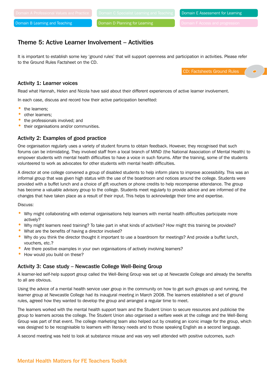Domain E Assessment for Learning

Domain D Planning for Learning

## Theme 5: Active Learner Involvement – Activities

It is important to establish some key 'ground rules' that will support openness and participation in activities. Please refer to the Ground Rules Factsheet on the CD.

CD: Factsheets Ground Rules

#### Activity 1: Learner voices

Read what Hannah, Helen and Nicola have said about their different experiences of active learner involvement.

In each case, discuss and record how their active participation benefited:

- the learners;
- other learners;
- the professionals involved; and
- their organisations and/or communities.

#### Activity 2: Examples of good practice

One organisation regularly uses a variety of student forums to obtain feedback. However, they recognised that such forums can be intimidating. They involved staff from a local branch of MIND (the National Association of Mental Health) to empower students with mental health difficulties to have a voice in such forums. After the training, some of the students volunteered to work as advocates for other students with mental health difficulties.

A director at one college convened a group of disabled students to help inform plans to improve accessibility. This was an informal group that was given high status with the use of the boardroom and notices around the college. Students were provided with a buffet lunch and a choice of gift vouchers or phone credits to help recompense attendance. The group has become a valuable advisory group to the college. Students meet regularly to provide advice and are informed of the changes that have taken place as a result of their input. This helps to acknowledge their time and expertise.

Discuss:

- Why might collaborating with external organisations help learners with mental health difficulties participate more actively?
- Why might learners need training? To take part in what kinds of activities? How might this training be provided?
- What are the benefits of having a director involved?
- Why do you think the director thought it important to use a boardroom for meetings? And provide a buffet lunch, vouchers, etc.?
- Are there positive examples in your own organisations of actively involving learners?
- How would you build on these?

#### Activity 3: Case study – Newcastle College Well-Being Group

A learner-led self-help support group called the Well-Being Group was set up at Newcastle College and already the benefits to all are obvious.

Using the advice of a mental health service user group in the community on how to get such groups up and running, the learner group at Newcastle College had its inaugural meeting in March 2008. The learners established a set of ground rules, agreed how they wanted to develop the group and arranged a regular time to meet.

The learners worked with the mental health support team and the Student Union to secure resources and publicise the group to learners across the college. The Student Union also organised a welfare week at the college and the Well-Being Group was part of that event. The college marketing team also helped out by creating an iconic image for the group, which was designed to be recognisable to learners with literacy needs and to those speaking English as a second language.

A second meeting was held to look at substance misuse and was very well attended with positive outcomes, such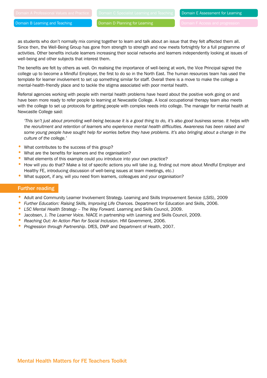Domain D Planning for Learning

as students who don't normally mix coming together to learn and talk about an issue that they felt affected them all. Since then, the Well-Being Group has gone from strength to strength and now meets fortnightly for a full programme of activities. Other benefits include learners increasing their social networks and learners independently looking at issues of well-being and other subjects that interest them.

The benefits are felt by others as well. On realising the importance of well-being at work, the Vice Principal signed the college up to become a Mindful Employer, the first to do so in the North East. The human resources team has used the template for learner involvement to set up something similar for staff. Overall there is a move to make the college a mental-health-friendly place and to tackle the stigma associated with poor mental health.

Referral agencies working with people with mental health problems have heard about the positive work going on and have been more ready to refer people to learning at Newcastle College. A local occupational therapy team also meets with the college to set up protocols for getting people with complex needs into college. The manager for mental health at Newcastle College said:

*'This isn't just about promoting well-being because it is a good thing to do, it's also good business sense. It helps with the recruitment and retention of learners who experience mental health difficulties. Awareness has been raised and*  some young people have sought help for worries before they have problems. It's also bringing about a change in the *culture of the college.'*

- What contributes to the success of this group?
- What are the benefits for learners and the organisation?
- What elements of this example could you introduce into your own practice?
- How will you do that? Make a list of specific actions you will take (e.g. finding out more about Mindful Employer and Healthy FE, introducing discussion of well-being issues at team meetings, etc.)
- What support, if any, will you need from learners, colleagues and your organisation?

#### Further reading

- Adult and Community Learner Involvement Strategy. Learning and Skills Improvement Service (LSIS), 2009
- *Further Education: Raising Skills, Improving Life Chances.* Department for Education and Skills, 2006.
- *LSC Mental Health Strategy The Way Forward.* Learning and Skills Council, 2009.
- Jacobsen, J. *The Learner Voic*e. NIACE in partnership with Learning and Skills Council, 2009.
- *Reaching Out: An Action Plan for Social Inclusion.* HM Government, 2006.
- *Progression through Partnership*. DfES, DWP and Department of Health, 2007.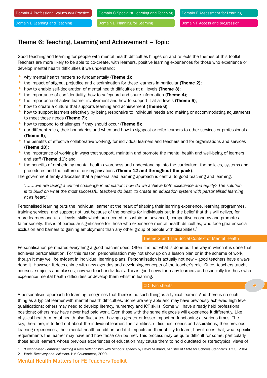## Theme 6: Teaching, Learning and Achievement – Topic

Good teaching and learning for people with mental health difficulties hinges on and reflects the themes of this toolkit. Teachers are more likely to be able to co-create, with learners, positive learning experiences for those who experience or develop mental health difficulties if we understand:

- why mental health matters so fundamentally (Theme  $1$ );
- the impact of stigma, prejudice and discrimination for these learners in particular (Theme 2):
- how to enable self-declaration of mental health difficulties at all levels (Theme 3);
- the importance of confidentiality, how to safeguard and share information (Theme 4);
- the importance of active learner involvement and how to support it at all levels (Theme 5);
- how to create a culture that supports learning and achievement (**Theme 6**);
- how to support learners effectively by being responsive to individual needs and making or accommodating adjustments to meet those needs (Theme 7);
- how to respond to challenges if they should occur (Theme 8);
- our different roles, their boundaries and when and how to signpost or refer learners to other services or professionals (Theme 9);
- the benefits of effective collaborative working, for individual learners and teachers and for organisations and services (Theme 10);
- the importance of working in ways that support, maintain and promote the mental health and well-being of learners and staff (Theme 11); and
- the benefits of embedding mental health awareness and understanding into the curriculum, the policies, systems and procedures and the culture of our organisations (Theme 12 and throughout the pack).

The government firmly advocates that a personalised learning approach is central to good teaching and learning.

*'........we are facing a critical challenge in education: how do we achieve both excellence and equity? The solution is to build on what the most successful teachers do best, to create an education system with personalised learning at its heart.'1*

Personalised learning puts the individual learner at the heart of shaping their learning experience, learning programmes, training services, and support not just because of the benefits for individuals but in the belief that this will deliver, for more learners and at all levels, skills which are needed to sustain an advanced, competitive economy and promote a fairer society. This is of particular significance for those who experience mental health difficulties, who face greater social exclusion and barriers to gaining employment than any other group of people with disabilities.<sup>2</sup>

#### Theme 2 and The Social Context of Mental Health

Personalisation permeates everything a good teacher does. Often it is not what is done but the way in which it is done that achieves personalisation. For this reason, personalisation may not show up on a lesson plan or in the scheme of work, though it may well be evident in individual learning plans. Personalisation is actually not new – good teachers have always done it. However, it does chime with new agendas and developing concepts of the teacher's role. Once, teachers taught courses, subjects and classes; now we teach individuals. This is good news for many learners and especially for those who experience mental health difficulties or develop them whilst in learning.

#### CD: Factsheets

A personalised approach to learning recognises that there is no such thing as a typical learner. And there is no such thing as a typical learner with mental health difficulties. Some are very able and may have previously achieved high level qualifications; others may need to develop literacy, numeracy and ICT skills. Some will have already held professional positions; others may have never had paid work. Even those with the same diagnosis will experience it differently. Like physical health, mental health also fluctuates, having a greater or lesser impact on functioning at various times. The key, therefore, is to find out about the individual learner; their abilities, difficulties, needs and aspirations, their previous learning experiences, their mental health condition and if it impacts on their ability to learn, how it does that, what specific requirements the learner may have and how those can be met. This process may be quite difficult for some, particularly those adult learners whose previous experiences of education may cause them to hold outdated or stereotypical views of

1 '*Personalised Learning: Building a New Relationship with Schools*' speech by David Miliband, Minister of State for Schools Standards. DfES, 2004.

2 *Work, Recovery and Inclusion*. HM Government, 2009.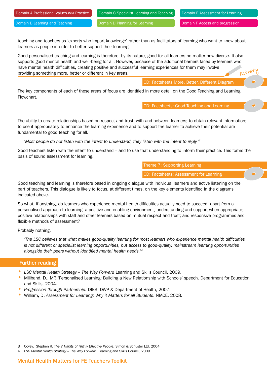Domain E Assessment for Learning

Domain B Learning and Teaching

Domain D Planning for Learning

Domain F Access and progression

teaching and teachers as 'experts who impart knowledge' rather than as facilitators of learning who want to know about learners as people in order to better support their learning.

Good personalised teaching and learning is therefore, by its nature, good for all learners no matter how diverse. It also supports good mental health and well-being for all. However, because of the additional barriers faced by learners who have mental health difficulties, creating positive and successful learning experiences for them may involve providing something more, better or different in key areas. Activity

CD: Factsheets More, Better, Different Diagram

The key components of each of these areas of focus are identified in more detail on the Good Teaching and Learning Flowchart.

CD: Factsheets: Good Teaching and Learning

The ability to create relationships based on respect and trust, with and between learners; to obtain relevant information; to use it appropriately to enhance the learning experience and to support the learner to achieve their potential are fundamental to good teaching for all.

*'Most people do not listen with the intent to understand, they listen with the intent to reply.'3*

Good teachers listen with the intent to understand – and to use that understanding to inform their practice. This forms the basis of sound assessment for learning.

Theme 7: Supporting Learning

CD: Factsheets: Assessment for Learning

Good teaching and learning is therefore based in ongoing dialogue with individual learners and active listening on the part of teachers. This dialogue is likely to focus, at different times, on the key elements identified in the diagrams indicated above.

So what, if anything, do learners who experience mental health difficulties actually need to succeed, apart from a personalised approach to learning; a positive and enabling environment, understanding and support when appropriate; positive relationships with staff and other learners based on mutual respect and trust; and responsive programmes and flexible methods of assessment?

Probably nothing.

*'The LSC believes that what makes good-quality learning for most learners who experience mental health difficulties is not different or specialist learning opportunities, but access to good-quality, mainstream learning opportunities alongside their peers without identified mental health needs.'4*

#### Further reading

- *LSC Mental Health Strategy The Way Forward* Learning and Skills Council, 2009.
- Miliband, D., MP. 'Personalised Learning: Building a New Relationship with Schools' speech. Department for Education and Skills, 2004.
- *Progression through Partnership.* DfES, DWP & Department of Health, 2007.
- William, D. *Assessment for Learning: Why it Matters for all Students*. NIACE, 2008.

- 3 Covey, Stephen R. *The 7 Habits of Highly Effective People*. Simon & Schuster Ltd, 2004.
- 4 *LSC Mental Health Strategy The Way Forward*. Learning and Skills Council, 2009.

#### Mental Health Matters for FE Teachers Toolkit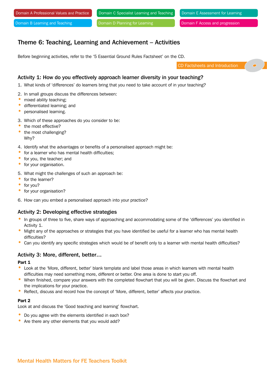Domain C Specialist Learning and Teaching

Domain E Assessment for Learning

Domain B Learning and Teaching

Domain D Planning for Learning

Domain F Access and progression

## Theme 6: Teaching, Learning and Achievement – Activities

Before beginning activities, refer to the '5 Essential Ground Rules Factsheet' on the CD.

CD Factsheets and Introduction

#### Activity 1: How do you effectively approach learner diversity in your teaching?

1. What kinds of 'differences' do learners bring that you need to take account of in your teaching?

- 2. In small groups discuss the differences between:
- mixed ability teaching;
- differentiated learning; and
- personalised learning.
- 3. Which of these approaches do you consider to be:
- the most effective?
- the most challenging? Why?
- 4. Identify what the advantages or benefits of a personalised approach might be:
- for a learner who has mental health difficulties;
- for you, the teacher; and
- for your organisation.
- 5. What might the challenges of such an approach be:
- for the learner?
- for you?
- for your organisation?
- 6. How can you embed a personalised approach into your practice?

#### Activity 2: Developing effective strategies

- In groups of three to five, share ways of approaching and accommodating some of the 'differences' you identified in Activity 1.
- Might any of the approaches or strategies that you have identified be useful for a learner who has mental health difficulties?
- Can you identify any specific strategies which would be of benefit only to a learner with mental health difficulties?

#### Activity 3: More, different, better…

#### Part 1

- Look at the 'More, different, better' blank template and label those areas in which learners with mental health difficulties may need something more, different or better. One area is done to start you off.
- When finished, compare your answers with the completed flowchart that you will be given. Discuss the flowchart and the implications for your practice.
- Reflect, discuss and record how the concept of 'More, different, better' affects your practice.

#### Part 2

Look at and discuss the 'Good teaching and learning' flowchart.

- Do you agree with the elements identified in each box?
- Are there any other elements that you would add?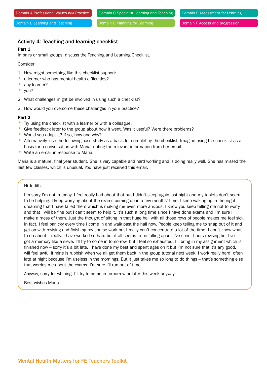Domain D Planning for Learning

Domain F Access and progression

#### Activity 4: Teaching and learning checklist

#### Part 1

In pairs or small groups, discuss the Teaching and Learning Checklist.

Consider:

- 1. How might something like this checklist support:
- a learner who has mental health difficulties?
- any learner?
- you?
- 2. What challenges might be involved in using such a checklist?
- 3. How would you overcome these challenges in your practice?

#### Part 2

- Try using the checklist with a learner or with a colleague.
- Give feedback later to the group about how it went. Was it useful? Were there problems?
- Would you adapt it? If so, how and why?
- Alternatively, use the following case study as a basis for completing the checklist. Imagine using the checklist as a basis for a conversation with Maria, noting the relevant information from her email.
- Write an email in response to Maria.

Maria is a mature, final year student. She is very capable and hard working and is doing really well. She has missed the last few classes, which is unusual. You have just received this email.

Hi Judith.

I'm sorry I'm not in today. I feel really bad about that but I didn't sleep again last night and my tablets don't seem to be helping. I keep worrying about the exams coming up in a few months' time. I keep waking up in the night dreaming that I have failed them which is making me even more anxious. I know you keep telling me not to worry and that I will be fine but I can't seem to help it. It's such a long time since I have done exams and I'm sure I'll make a mess of them. Just the thought of sitting in that huge hall with all those rows of people makes me feel sick. In fact, I feel panicky every time I come in and walk past the hall now. People keep telling me to snap out of it and get on with revising and finishing my course work but I really can't concentrate a lot of the time. I don't know what to do about it really. I have worked so hard but it all seems to be falling apart. I've spent hours revising but I've got a memory like a sieve. I'll try to come in tomorrow, but I feel so exhausted. I'll bring in my assignment which is finished now - sorry it's a bit late. I have done my best and spent ages on it but I'm not sure that it's any good. I will feel awful if mine is rubbish when we all get them back in the group tutorial next week. I work really hard, often late at night because I'm useless in the mornings. But it just takes me so long to do things – that's something else that worries me about the exams. I'm sure I'll run out of time.

Anyway, sorry for whining. I'll try to come in tomorrow or later this week anyway.

Best wishes Maria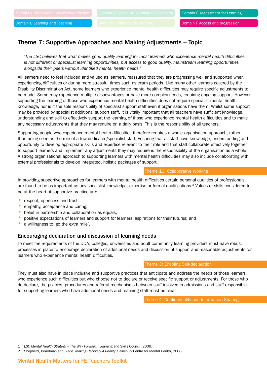## Theme 7: Supportive Approaches and Making Adjustments – Topic

*'The LSC believes that what makes good quality learning for most learners who experience mental health difficulties is not different or specialist learning opportunities, but access to good quality, mainstream learning opportunities alongside their peers without identified mental health needs.'1*

All learners need to feel included and valued as learners, reassured that they are progressing well and supported when experiencing difficulties or during more stressful times such as exam periods. Like many other learners covered by the Disability Discrimination Act, some learners who experience mental health difficulties may require specific adjustments to be made. Some may experience multiple disadvantages or have more complex needs, requiring ongoing support. However, supporting the learning of those who experience mental health difficulties does not require specialist mental health knowledge, nor is it the sole responsibility of specialist support staff even if organisations have them. Whilst some support may be provided by specialist additional support staff, it is vitally important that all teachers have sufficient knowledge, understanding and skill to effectively support the learning of those who experience mental health difficulties and to make any necessary adjustments that they may require on a daily basis. This is the responsibility of all teachers.

Supporting people who experience mental health difficulties therefore requires a whole-organisation approach, rather than being seen as the role of a few dedicated/specialist staff. Ensuring that all staff have knowledge, understanding and opportunity to develop appropriate skills and expertise relevant to their role and that staff collaborate effectively together to support learners and implement any adjustments they may require is the responsibility of the organisation as a whole. A strong organisational approach to supporting learners with mental health difficulties may also include collaborating with external professionals to develop integrated, holistic packages of support.

#### Theme 10: Collaborative Working

In providing supportive approaches for learners with mental health difficulties certain personal qualities of professionals are found to be as important as any specialist knowledge, expertise or formal qualifications.<sup>2</sup> Values or skills considered to be at the heart of supportive practice are:

- respect, openness and trust;
- empathy, acceptance and caring:
- belief in partnership and collaboration as equals;
- positive expectations of learners and support for learners' aspirations for their futures; and
- a willingness to 'go the extra mile'.

#### Encouraging declaration and discussion of learning needs

To meet the requirements of the DDA, colleges, universities and adult community learning providers must have robust processes in place to encourage declaration of additional needs and discussion of support and reasonable adjustments for learners who experience mental health difficulties.

#### Theme 3: Enabling Self-declaration

They must also have in place inclusive and supportive practices that anticipate and address the needs of those learners who experience such difficulties but who choose not to declare or receive specific support or adjustments. For those who do declare, the policies, procedures and referral mechanisms between staff involved in admissions and staff responsible for supporting learners who have additional needs and teaching staff must be clear.

Theme 4: Confidentiality and Information Sharing

1 *LSC Mental Health Strategy – The Way Forward*. Learning and Skills Council, 2009.

2 Shepherd, Boardman and Slade. *Making Recovery A Reality.* Sainsbury Centre for Mental Health, 2008.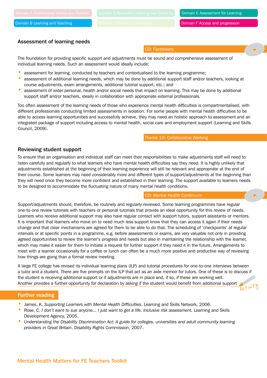CD: Factsheets

Domain E Assessment for Learning

#### Assessment of learning needs

The foundation for providing specific support and adjustments must be sound and comprehensive assessment of individual learning needs. Such an assessment would ideally include:

- assessment for learning, conducted by teachers and contextualised to the learning programme;
- assessment of additional learning needs, which may be done by additional support staff and/or teachers, looking at course adjustments, exam arrangements, additional tutorial support, etc.; and
- assessment of wider personal, health and/or social needs that impact on learning. This may be done by additional support staff and/or teachers, ideally in collaboration with appropriate external professionals.

Too often assessment of the learning needs of those who experience mental health difficulties is compartmentalised, with different professionals conducting limited assessments in isolation. For some people with mental health difficulties to be able to access learning opportunities and successfully achieve, they may need an holistic approach to assessment and an integrated package of support including access to mental health, social care and employment support (Learning and Skills Council, 2009).

Theme 10: Collaborative Working

#### Reviewing student support

To ensure that an organisation and individual staff can meet their responsibilities to make adjustments staff will need to listen carefully and regularly to what learners who have mental health difficulties say they need. It is highly unlikely that adjustments established at the beginning of their learning experience will still be relevant and appropriate at the end of their course. Some learners may need considerably more and different types of support/adjustments at the beginning than they will need once they become more confident and established in their learning. The support available to learners needs to be designed to accommodate the fluctuating nature of many mental health conditions.

#### CD: Mental Health Continuum

Support/adjustments should, therefore, be routinely and regularly reviewed. Some learning programmes have regular one-to-one review tutorials with teachers or personal tutorials that provide an ideal opportunity for this review of needs. Learners who receive additional support may also have regular contact with support tutors, support assistants or mentors. It is important that learners who move on to need much less support know that they can access it again if their needs change and that clear mechanisms are agreed for them to be able to do that. The scheduling of 'checkpoints' at regular intervals or at specific points in a programme, e.g. before assessments or exams, are very valuable not only in providing agreed opportunities to review the learner's progress and needs but also in maintaining the relationship with the learner, which may make it easier for them to initiate a request for further support if they need it in the future. Arrangements to meet with a learner occasionally for a coffee or lunch can often be a much more positive and productive way of reviewing how things are going than a formal review meeting.

A large FE college has revised its individual learning plans (ILP) and tutorial procedures for one-to-one interviews between a tutor and a student. There are five prompts on the ILP that act as an aide memoir for tutors. One of these is to discuss if the student is receiving additional support or if adjustments are in place and, if so, if these are working well. Another provides a further opportunity for declaration by asking if the student would benefit from additional support Activit

#### Further reading

- James, K. *Supporting Learners with Mental Health Difficulties*. Learning and Skills Network, 2006.
- Rose, C. *I don't want to sue anyone... I just want to get a life. Inclusive risk assessment*. Learning and Skills Development Agency, 2005.
- *Understanding the Disability Discrimination Act: A guide for colleges, universities and adult community learning providers in Great Britain*. Disability Rights Commission, 2007.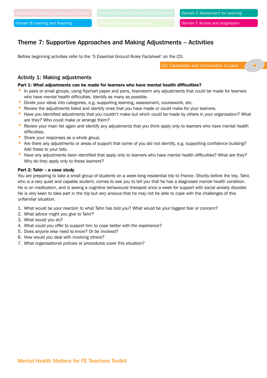#### Domain F Access and progression

## Theme 7: Supportive Approaches and Making Adjustments – Activities

Before beginning activities refer to the '5 Essential Ground Rules Factsheet' on the CD.

CD: Factsheets and Introduction to pack

#### Activity 1: Making adjustments

#### Part 1: What adjustments can be made for learners who have mental health difficulties?

- In pairs or small groups, using flipchart paper and pens, brainstorm any adjustments that could be made for learners who have mental health difficulties. Identify as many as possible.
- Divide your ideas into categories, e.g. supporting learning, assessment, coursework, etc.
- Review the adjustments listed and identify ones that you have made or could make for your learners.
- Have you identified adjustments that you couldn't make but which could be made by others in your organisation? What are they? Who could make or arrange them?
- Review your main list again and identify any adjustments that you think apply only to learners who have mental health difficulties.
- Share your responses as a whole group.
- Are there any adjustments or areas of support that some of you did not identify, e.g. supporting confidence building? Add these to your lists.
- Have any adjustments been identified that apply only to learners who have mental health difficulties? What are they? Why do they apply only to these learners?

#### Part 2: Tahir – a case study

You are preparing to take a small group of students on a week-long residential trip to France. Shortly before the trip, Tahir, who is a very quiet and capable student, comes to see you to tell you that he has a diagnosed mental health condition. He is on medication, and is seeing a cognitive behavioural therapist once a week for support with social anxiety disorder. He is very keen to take part in the trip but very anxious that he may not be able to cope with the challenges of this unfamiliar situation.

- 1. What would be your reaction to what Tahir has told you? What would be your biggest fear or concern?
- 2. What advice might you give to Tahir?
- 3. What would you do?
- 4. What could you offer to support him to cope better with the experience?
- 5. Does anyone else need to know? Or be involved?
- 6. How would you deal with involving others?
- 7. What organisational policies or procedures cover this situation?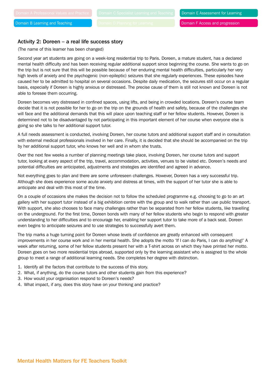#### Activity 2: Doreen – a real life success story

(The name of this learner has been changed)

Second year art students are going on a week-long residential trip to Paris. Doreen, a mature student, has a declared mental health difficulty and has been receiving regular additional support since beginning the course. She wants to go on the trip but is not sure that this will be possible because of her enduring mental health difficulties, particularly her very high levels of anxiety and the psychogenic (non-epileptic) seizures that she regularly experiences. These episodes have caused her to be admitted to hospital on several occasions. Despite daily medication, the seizures still occur on a regular basis, especially if Doreen is highly anxious or distressed. The precise cause of them is still not known and Doreen is not able to foresee them occurring.

Doreen becomes very distressed in confined spaces, using lifts, and being in crowded locations. Doreen's course team decide that it is not possible for her to go on the trip on the grounds of health and safety, because of the challenges she will face and the additional demands that this will place upon teaching staff or her fellow students. However, Doreen is determined not to be disadvantaged by not participating in this important element of her course when everyone else is going so she talks to her additional support tutor.

A full needs assessment is conducted, involving Doreen, her course tutors and additional support staff and in consultation with external medical professionals involved in her care. Finally, it is decided that she should be accompanied on the trip by her additional support tutor, who knows her well and in whom she trusts.

Over the next few weeks a number of planning meetings take place, involving Doreen, her course tutors and support tutor, looking at every aspect of the trip, travel, accommodation, activities, venues to be visited etc. Doreen's needs and potential difficulties are anticipated, adjustments and strategies are identified and agreed in advance.

Not everything goes to plan and there are some unforeseen challenges. However, Doreen has a very successful trip. Although she does experience some acute anxiety and distress at times, with the support of her tutor she is able to anticipate and deal with this most of the time.

On a couple of occasions she makes the decision not to follow the scheduled programme e.g. choosing to go to an art gallery with her support tutor instead of a big exhibition centre with the group and to walk rather than use public transport. With support, she also chooses to face many challenges rather than be separated from her fellow students, like travelling on the underground. For the first time, Doreen bonds with many of her fellow students who begin to respond with greater understanding to her difficulties and to encourage her, enabling her support tutor to take more of a back seat. Doreen even begins to anticipate seizures and to use strategies to successfully avert them.

The trip marks a huge turning point for Doreen whose levels of confidence are greatly enhanced with consequent improvements in her course work and in her mental health. She adopts the motto 'If I can do Paris, I can do anything!' A week after returning, some of her fellow students present her with a T-shirt across on which they have printed her motto. Doreen goes on two more residential trips abroad, supported only by the learning assistant who is assigned to the whole group to meet a range of additional learning needs. She completes her degree with distinction.

- 1. Identify all the factors that contribute to the success of this story.
- 2. What, if anything, do the course tutors and other students gain from this experience?
- 3. How would your organisation respond to Doreen's needs?
- 4. What impact, if any, does this story have on your thinking and practice?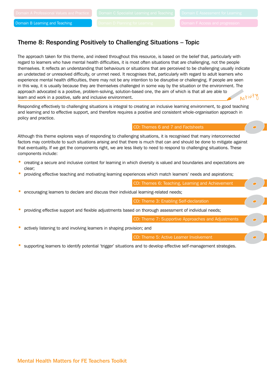## Theme 8: Responding Positively to Challenging Situations – Topic

The approach taken for this theme, and indeed throughout this resource, is based on the belief that, particularly with regard to learners who have mental health difficulties, it is most often situations that are challenging, not the people themselves. It reflects an understanding that behaviours or situations that are perceived to be challenging usually indicate an undetected or unresolved difficulty, or unmet need. It recognises that, particularly with regard to adult learners who experience mental health difficulties, there may not be any intention to be disruptive or challenging. If people are seen in this way, it is usually because they are themselves challenged in some way by the situation or the environment. The approach advocated is a positive, problem-solving, solution-based one, the aim of which is that all are able to learn and work in a positive, safe and inclusive environment. Activit

Responding effectively to challenging situations is integral to creating an inclusive learning environment, to good teaching and learning and to effective support, and therefore requires a positive and consistent whole-organisation approach in policy and practice.

#### CD: Themes 6 and 7 and Factsheets

Although this theme explores ways of responding to challenging situations, it is recognised that many interconnected factors may contribute to such situations arising and that there is much that can and should be done to mitigate against that eventuality. If we get the components right, we are less likely to need to respond to challenging situations. These components include:

- creating a secure and inclusive context for learning in which diversity is valued and boundaries and expectations are clear;
- providing effective teaching and motivating learning experiences which match learners' needs and aspirations;

CD: Themes 6: Teaching, Learning and Achievement

• encouraging learners to declare and discuss their individual learning-related needs;

CD: Theme 3: Enabling Self-declaration

• providing effective support and flexible adjustments based on thorough assessment of individual needs;

CD: Theme 7: Supportive Approaches and Adjustments

• actively listening to and involving learners in shaping provision; and

CD: Theme 5: Active Learner Involvement

supporting learners to identify potential 'trigger' situations and to develop effective self-management strategies.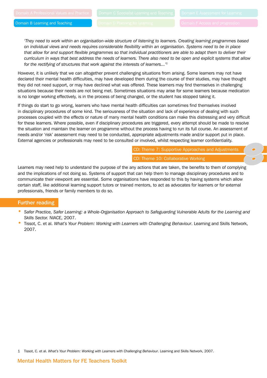*'They need to work within an organisation-wide structure of listening to learners. Creating learning programmes based on individual views and needs requires considerable flexibility within an organisation. Systems need to be in place that allow for and support flexible programmes so that individual practitioners are able to adapt them to deliver their curriculum in ways that best address the needs of learners. There also need to be open and explicit systems that allow for the rectifying of structures that work against the interests of learners...'1*

However, it is unlikely that we can altogether prevent challenging situations from arising. Some learners may not have declared their mental health difficulties, may have developed them during the course of their studies, may have thought they did not need support, or may have declined what was offered. These learners may find themselves in challenging situations because their needs are not being met. Sometimes situations may arise for some learners because medication is no longer working effectively, is in the process of being changed, or the student has stopped taking it.

If things do start to go wrong, learners who have mental health difficulties can sometimes find themselves involved in disciplinary procedures of some kind. The seriousness of the situation and lack of experience of dealing with such processes coupled with the effects or nature of many mental health conditions can make this distressing and very difficult for these learners. Where possible, even if disciplinary procedures are triggered, every attempt should be made to resolve the situation and maintain the learner on programme without the process having to run its full course. An assessment of needs and/or 'risk' assessment may need to be conducted, appropriate adjustments made and/or support put in place. External agencies or professionals may need to be consulted or involved, whilst respecting learner confidentiality.

> CD: Theme 7: Supportive Approaches and Adjustments CD: Theme 10: Collaborative Working

Learners may need help to understand the purpose of the any actions that are taken, the benefits to them of complying and the implications of not doing so. Systems of support that can help them to manage disciplinary procedures and to communicate their viewpoint are essential. Some organisations have responded to this by having systems which allow certain staff, like additional learning support tutors or trained mentors, to act as advocates for learners or for external professionals, friends or family members to do so.

#### Further reading

- *Safer Practice, Safer Learning: a Whole-Organisation Approach to Safeguarding Vulnerable Adults for the Learning and Skills Sector.* NIACE, 2007.
- Tissot, C. et al. *What's Your Problem: Working with Learners with Challenging Behaviour*. Learning and Skills Network, 2007.

1 Tissot, C. et al. *What's Your Problem: Working with Learners with Challenging Behaviour*. Learning and Skills Network, 2007.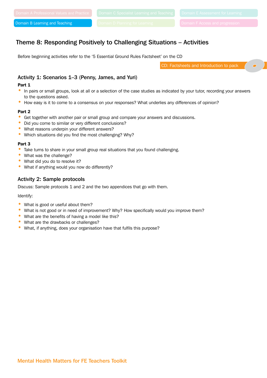## Theme 8: Responding Positively to Challenging Situations – Activities

Before beginning activities refer to the '5 Essential Ground Rules Factsheet' on the CD

CD: Factsheets and Introduction to pack

#### Activity 1: Scenarios 1–3 (Penny, James, and Yuri)

#### Part 1

- In pairs or small groups, look at all or a selection of the case studies as indicated by your tutor, recording your answers to the questions asked.
- How easy is it to come to a consensus on your responses? What underlies any differences of opinion?

#### Part 2

- Get together with another pair or small group and compare your answers and discussions.
- Did you come to similar or very different conclusions?
- What reasons underpin your different answers?
- Which situations did you find the most challenging? Why?

#### Part 3

- Take turns to share in your small group real situations that you found challenging.
- What was the challenge?
- What did you do to resolve it?
- What if anything would you now do differently?

#### Activity 2: Sample protocols

Discuss: Sample protocols 1 and 2 and the two appendices that go with them.

Identify:

- What is good or useful about them?
- What is not good or in need of improvement? Why? How specifically would you improve them?
- What are the benefits of having a model like this?
- What are the drawbacks or challenges?
- What, if anything, does your organisation have that fulfils this purpose?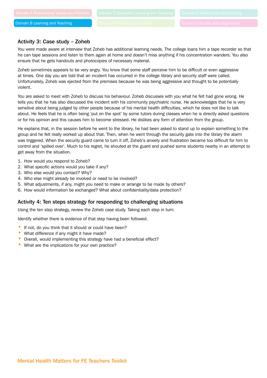#### Activity 3: Case study – Zoheb

You were made aware at interview that Zoheb has additional learning needs. The college loans him a tape recorder so that he can tape sessions and listen to them again at home and doesn't miss anything if his concentration wanders. You also ensure that he gets handouts and photocopies of necessary material.

Zoheb sometimes appears to be very angry. You know that some staff perceive him to be difficult or even aggressive at times. One day you are told that an incident has occurred in the college library and security staff were called. Unfortunately, Zoheb was ejected from the premises because he was being aggressive and thought to be potentially violent.

You are asked to meet with Zoheb to discuss his behaviour. Zoheb discusses with you what he felt had gone wrong. He tells you that he has also discussed the incident with his community psychiatric nurse. He acknowledges that he is very sensitive about being judged by other people because of his mental health difficulties, which he does not like to talk about. He feels that he is often being 'put on the spot' by some tutors during classes when he is directly asked questions or for his opinion and this causes him to become stressed. He dislikes any form of attention from the group.

He explains that, in the session before he went to the library, he had been asked to stand up to explain something to the group and he felt really worked up about that. Then, when he went through the security gate into the library the alarm was triggered. When the security guard came to turn it off, Zoheb's anxiety and frustration became too difficult for him to control and 'spilled over'. Much to his regret, he shouted at the guard and pushed some students nearby in an attempt to get away from the situation.

- 1. How would you respond to Zoheb?
- 2. What specific actions would you take if any?
- 3. Who else would you contact? Why?
- 4. Who else might already be involved or need to be involved?
- 5. What adjustments, if any, might you need to make or arrange to be made by others?
- 6. How would information be exchanged? What about confidentiality/data protection?

#### Activity 4: Ten steps strategy for responding to challenging situations

Using the ten step strategy, review the Zoheb case study. Taking each step in turn:

Identify whether there is evidence of that step having been followed.

- If not, do you think that it should or could have been?
- What difference if any might it have made?
- Overall, would implementing this strategy have had a beneficial effect?
- What are the implications for your own practice?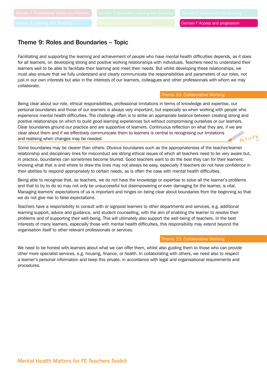### Theme 9: Roles and Boundaries – Topic

Facilitating and supporting the learning and achievement of people who have mental health difficulties depends, as it does for all learners, on developing strong and positive working relationships with individuals. Teachers need to understand their learners well to be able to facilitate their learning and meet their needs. But whilst developing these relationships, we must also ensure that we fully understand and clearly communicate the responsibilities and parameters of our roles, not just in our own interests but also in the interests of our learners, colleagues and other professionals with whom we may collaborate.

#### Theme 10: Collaborative Working

Being clear about our role, ethical responsibilities, professional limitations in terms of knowledge and expertise, our personal boundaries and those of our learners is always very important, but especially so when working with people who experience mental health difficulties. The challenge often is to strike an appropriate balance between creating strong and positive relationships on which to build good learning experiences but without compromising ourselves or our learners. Clear boundaries ground our practice and are supportive of learners. Continuous reflection on what they are, if we are clear about them and if we effectively communicate them to learners is central to recognising our limitations and realising when changes may be needed. Activity

Some boundaries may be clearer than others. Obvious boundaries such as the appropriateness of the teacher/learner relationship and disciplinary lines for misconduct are strong ethical issues of which all teachers need to be very aware but, in practice, boundaries can sometimes become blurred. Good teachers want to do the best they can for their learners: knowing what that is and where to draw the lines may not always be easy, especially if teachers do not have confidence in their abilities to respond appropriately to certain needs, as is often the case with mental health difficulties.

Being able to recognise that, as teachers, we do not have the knowledge or expertise to solve all the learner's problems and that to try to do so may not only be unsuccessful but disempowering or even damaging for the learner, is vital. Managing learners' expectations of us is important and hinges on being clear about boundaries from the beginning so that we do not give rise to false expectations.

Teachers have a responsibility to consult with or signpost learners to other departments and services, e.g. additional learning support, advice and guidance, and student counselling, with the aim of enabling the learner to resolve their problems and of supporting their well-being. This will ultimately also support the well-being of teachers. In the best interests of many learners, especially those with mental health difficulties, this responsibility may extend beyond the organisation itself to other relevant professionals or services.

#### Theme 10: Collaborative Working

We need to be honest with learners about what we can offer them, whilst also guiding them to those who can provide other more specialist services, e.g. housing, finance, or health. In collaborating with others, we need also to respect a learner's personal information and keep this private, in accordance with legal and organisational requirements and procedures.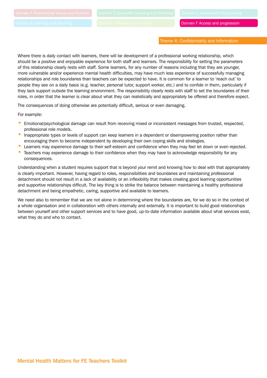Domain F Access and progression

Theme 4: Confidentiality and Information

Where there is daily contact with learners, there will be development of a professional working relationship, which should be a positive and enjoyable experience for both staff and learners. The responsibility for setting the parameters of this relationship clearly rests with staff. Some learners, for any number of reasons including that they are younger, more vulnerable and/or experience mental health difficulties, may have much less experience of successfully managing relationships and role boundaries than teachers can be expected to have. It is common for a learner to 'reach out' to people they see on a daily basis (e.g. teacher, personal tutor, support worker, etc.) and to confide in them, particularly if they lack support outside the learning environment. The responsibility clearly rests with staff to set the boundaries of their roles, in order that the learner is clear about what they can realistically and appropriately be offered and therefore expect.

The consequences of doing otherwise are potentially difficult, serious or even damaging.

For example:

- Emotional/psychological damage can result from receiving mixed or inconsistent messages from trusted, respected, professional role models.
- Inappropriate types or levels of support can keep learners in a dependent or disempowering position rather than encouraging them to become independent by developing their own coping skills and strategies.
- Learners may experience damage to their self-esteem and confidence when they may feel let down or even rejected.
- Teachers may experience damage to their confidence when they may have to acknowledge responsibility for any consequences.

Understanding when a student requires support that is beyond your remit and knowing how to deal with that appropriately is clearly important. However, having regard to roles, responsibilities and boundaries and maintaining professional detachment should not result in a lack of availability or an inflexibility that makes creating good learning opportunities and supportive relationships difficult. The key thing is to strike the balance between maintaining a healthy professional detachment and being empathetic, caring, supportive and available to learners.

We need also to remember that we are not alone in determining where the boundaries are, for we do so in the context of a whole organisation and in collaboration with others internally and externally. It is important to build good relationships between yourself and other support services and to have good, up-to-date information available about what services exist, what they do and who to contact.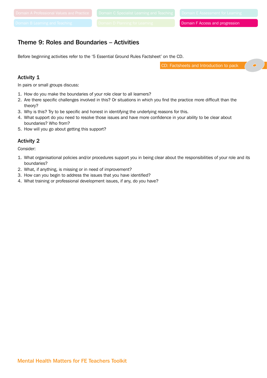Domain F Access and progression

## Theme 9: Roles and Boundaries – Activities

Before beginning activities refer to the '5 Essential Ground Rules Factsheet' on the CD.

CD: Factsheets and Introduction to pack

#### Activity 1

In pairs or small groups discuss:

- 1. How do you make the boundaries of your role clear to all learners?
- 2. Are there specific challenges involved in this? Or situations in which you find the practice more difficult than the theory?
- 3. Why is this? Try to be specific and honest in identifying the underlying reasons for this.
- 4. What support do you need to resolve those issues and have more confidence in your ability to be clear about boundaries? Who from?
- 5. How will you go about getting this support?

#### Activity 2

Consider:

- 1. What organisational policies and/or procedures support you in being clear about the responsibilities of your role and its boundaries?
- 2. What, if anything, is missing or in need of improvement?
- 3. How can you begin to address the issues that you have identified?
- 4. What training or professional development issues, if any, do you have?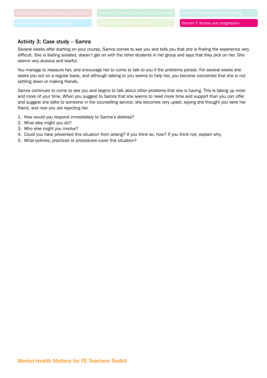#### Activity 3: Case study – Samra

Several weeks after starting on your course, Samra comes to see you and tells you that she is finding the experience very difficult. She is feeling isolated, doesn't get on with the other students in her group and says that they pick on her. She seems very anxious and tearful.

You manage to reassure her, and encourage her to come to talk to you if the problems persist. For several weeks she seeks you out on a regular basis, and although talking to you seems to help her, you become concerned that she is not settling down or making friends.

Samra continues to come to see you and begins to talk about other problems that she is having. This is taking up more and more of your time. When you suggest to Samra that she seems to need more time and support than you can offer and suggest she talks to someone in the counselling service, she becomes very upset, saying she thought you were her friend, and now you are rejecting her.

- 1. How would you respond immediately to Samra's distress?
- 2. What else might you do?
- 3. Who else might you involve?
- 4. Could you have prevented this situation from arising? If you think so, how? If you think not, explain why.
- 5. What policies, practices or procedures cover this situation?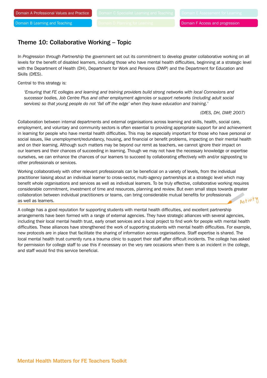## Theme 10: Collaborative Working – Topic

In *Progression through Partnership* the government set out its commitment to develop greater collaborative working on all levels for the benefit of disabled learners, including those who have mental health difficulties, beginning at a strategic level with the Department of Health (DH), Department for Work and Pensions (DWP) and the Department for Education and Skills (DfES).

Central to this strategy is:

*'Ensuring that FE colleges and learning and training providers build strong networks with local Connexions and successor bodies, Job Centre Plus and other employment agencies or support networks (including adult social services) so that young people do not 'fall off the edge' when they leave education and training.'*

*(DfES, DH, DWP, 2007)*

Collaboration between internal departments and external organisations across learning and skills, health, social care, employment, and voluntary and community sectors is often essential to providing appropriate support for and achievement in learning for people who have mental health difficulties. This may be especially important for those who have personal or social issues, like unemployment/redundancy, housing, and financial or benefit problems, impacting on their mental health and on their learning. Although such matters may be beyond our remit as teachers, we cannot ignore their impact on our learners and their chances of succeeding in learning. Though we may not have the necessary knowledge or expertise ourselves, we can enhance the chances of our learners to succeed by collaborating effectively with and/or signposting to other professionals or services.

Working collaboratively with other relevant professionals can be beneficial on a variety of levels, from the individual practitioner liaising about an individual learner to cross-sector, multi-agency partnerships at a strategic level which may benefit whole organisations and services as well as individual learners. To be truly effective, collaborative working requires considerable commitment, investment of time and resources, planning and review. But even small steps towards greater collaboration between individual practitioners or teams, can bring considerable mutual benefits for professionals as well as learners. Activity

A college has a good reputation for supporting students with mental health difficulties, and excellent partnership arrangements have been formed with a range of external agencies. They have strategic alliances with several agencies, including their local mental health trust, early onset services and a local project to find work for people with mental health difficulties. These alliances have strengthened the work of supporting students with mental health difficulties. For example, new protocols are in place that facilitate the sharing of information across organisations. Staff expertise is shared. The local mental health trust currently runs a trauma clinic to support their staff after difficult incidents. The college has asked for permission for college staff to use this if necessary on the very rare occasions when there is an incident in the college, and staff would find this service beneficial.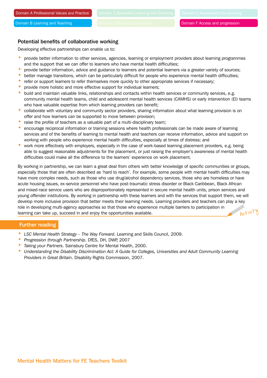#### Potential benefits of collaborative working

Developing effective partnerships can enable us to:

- provide better information to other services, agencies, learning or employment providers about learning programmes and the support that we can offer to learners who have mental health difficulties;
- provide better information, advice and guidance to learners and potential learners via a greater variety of sources;
- better manage transitions, which can be particularly difficult for people who experience mental health difficulties;
- refer or support learners to refer themselves more quickly to other appropriate services if necessary;
- provide more holistic and more effective support for individual learners;
- build and maintain valuable links, relationships and contacts within health services or community services, e.g. community mental health teams, child and adolescent mental health services (CAMHS) or early intervention (EI) teams who have valuable expertise from which learning providers can benefit;
- collaborate with voluntary and community sector providers, sharing information about what learning provision is on offer and how learners can be supported to move between provision;
- raise the profile of teachers as a valuable part of a multi-disciplinary team;
- encourage reciprocal information or training sessions where health professionals can be made aware of learning services and of the benefits of learning to mental health and teachers can receive information, advice and support on working with people who experience mental health difficulties, especially at times of distress; and
- work more effectively with employers, especially in the case of work-based learning placement providers, e.g. being able to suggest reasonable adjustments for the placement, or just raising the employer's awareness of mental health difficulties could make all the difference to the learners' experience on work placement.

By working in partnership, we can learn a great deal from others with better knowledge of specific communities or groups, especially those that are often described as 'hard to reach'. For example, some people with mental health difficulties may have more complex needs, such as those who use drug/alcohol dependency services, those who are homeless or have acute housing issues, ex-service personnel who have post-traumatic stress disorder or Black Caribbean, Black African and mixed-race service users who are disproportionately represented in secure mental health units, prison services and young offender institutions. By working in partnership with these learners and with the services that support them, we will develop more inclusive provision that better meets their learning needs. Learning providers and teachers can play a key role in developing multi-agency approaches so that those who experience multiple barriers to participation in learning can take up, succeed in and enjoy the opportunities available. Activity

#### Further reading

- *LSC Mental Health Strategy The Way Forward*. Learning and Skills Council, 2009.
- *Progression through Partnership*. DfES, DH, DWP, 2007
- *Taking your Partners*. Sainsbury Centre for Mental Health, 2000.
- *Understanding the Disability Discrimination Act: A Guide for Colleges, Universities and Adult Community Learning Providers in Great Britain*. Disability Rights Commission, 2007.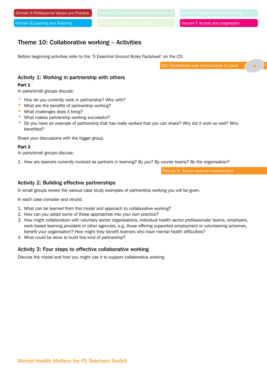## Theme 10: Collaborative working – Activities

Before beginning activities refer to the '5 Essential Ground Rules Factsheet' on the CD.

CD: Factsheets and Introduction to pack

#### Activity 1: Working in partnership with others

#### Part 1

In pairs/small groups discuss:

- How do you currently work in partnership? Who with?
- What are the benefits of partnership working?
- What challenges does it bring?
- What makes partnership working successful?
- Do you have an example of partnership that has really worked that you can share? Why did it work so well? Who benefited?

Share your discussions with the bigger group.

#### Part 2

In pairs/small groups discuss:

1. How are learners currently involved as partners in learning? By you? By course teams? By the organisation?

Theme 5: Active Learner Involvement

#### Activity 2: Building effective partnerships

In small groups review the various case study examples of partnership working you will be given.

In each case consider and record:

- 1. What can be learned from this model and approach to collaborative working?
- 2. How can you adopt some of these approaches into your own practice?
- 3. How might collaboration with voluntary sector organisations, individual health sector professionals/ teams, employers, work-based learning providers or other agencies, e.g. those offering supported employment or volunteering schemes, benefit your organisation? How might they benefit learners who have mental health difficulties?
- 4. What could be done to build this kind of partnership?

#### Activity 3: Four steps to effective collaborative working

Discuss the model and how you might use it to support collaborative working.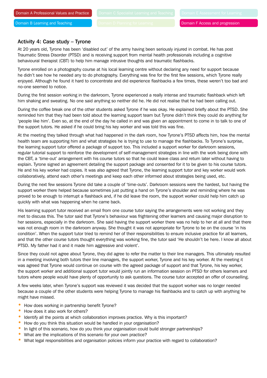#### Activity 4: Case study – Tyrone

At 20 years old, Tyrone has been 'disabled out' of the army having been seriously injured in combat. He has post Traumatic Stress Disorder (PTSD) and is receiving support from mental health professionals including a cognitive behavioural therapist (CBT) to help him manage intrusive thoughts and traumatic flashbacks.

Tyrone enrolled on a photography course at his local learning centre without declaring any need for support because he didn't see how he needed any to do photography. Everything was fine for the first few sessions, which Tyrone really enjoyed. Although he found it hard to concentrate and did experience flashbacks a few times, these weren't too bad and no-one seemed to notice.

During the first session working in the darkroom, Tyrone experienced a really intense and traumatic flashback which left him shaking and sweating. No one said anything so neither did he. He did not realise that he had been calling out.

During the coffee break one of the other students asked Tyrone if he was okay. He explained briefly about the PTSD. She reminded him that they had been told about the learning support team but Tyrone didn't think they could do anything for 'people like him'. Even so, at the end of the day he called in and was given an appointment to come in to talk to one of the support tutors. He asked if he could bring his key worker and was told this was fine.

At the meeting they talked through what had happened in the dark room, how Tyrone's PTSD affects him, how the mental health team are supporting him and what strategies he is trying to use to manage the flashbacks. To Tyrone's surprise, the learning support tutor offered a package of support too. This included a support worker for darkroom sessions, regular tutorial support to reinforce the development of self-management strategies in line with the work being done with the CBT, a 'time-out' arrangement with his course tutors so that he could leave class and return later without having to explain. Tyrone signed an agreement detailing the support package and consented for it to be given to his course tutors. He and his key worker had copies. It was also agreed that Tyrone, the learning support tutor and key worker would work collaboratively, attend each other's meetings and keep each other informed about strategies being used, etc.

During the next few sessions Tyrone did take a couple of 'time-outs'. Darkroom sessions were the hardest, but having the support worker there helped because sometimes just putting a hand on Tyrone's shoulder and reminding where he was proved to be enough to interrupt a flashback and, if he did leave the room, the support worker could help him catch up quickly with what was happening when he came back.

His learning support tutor received an email from one course tutor saying the arrangements were not working and they met to discuss this. The tutor said that Tyrone's behaviour was frightening other learners and causing major disruption to her sessions, especially in the darkroom. She said having the support worker there was no help to her at all and that there was not enough room in the darkroom anyway. She thought it was not appropriate for Tyrone to be on the course 'in his condition'. When the support tutor tried to remind her of their responsibilities to ensure inclusive practice for all learners, and that the other course tutors thought everything was working fine, the tutor said 'He shouldn't be here. I know all about PTSD. My father had it and it made him aggressive and violent'.

Since they could not agree about Tyrone, they did agree to refer the matter to their line managers. This ultimately resulted in a meeting involving both tutors their line managers, the support worker, Tyrone and his key worker. At the meeting it was agreed that Tyrone would continue on course with the agreed package of support and that Tyrone, his key worker, the support worker and additional support tutor would jointly run an information session on PTSD for others learners and tutors where people would have plenty of opportunity to ask questions. The course tutor accepted an offer of counselling.

A few weeks later, when Tyrone's support was reviewed it was decided that the support worker was no longer needed because a couple of the other students were helping Tyrone to manage his flashbacks and to catch up with anything he might have missed.

- How does working in partnership benefit Tyrone?
- How does it also work for others?
- Identify all the points at which collaboration improves practice. Why is this important?
- How do you think this situation would be handled in your organisation?
- In light of this scenario, how do you think your organisation could build stronger partnerships?
- What are the implications of this scenario for your own practice?
- What legal responsibilities and organisation policies inform your practice with regard to collaboration?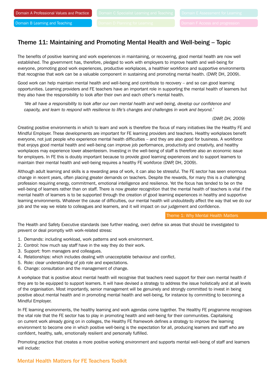## Theme 11: Maintaining and Promoting Mental Health and Well-being – Topic

The benefits of positive learning and work experiences in maintaining, or recovering, good mental health are now well established. The government has, therefore, pledged to work with employers to improve health and well-being for everyone, promoting good work experiences, productive workplaces, a healthier workforce and supportive environments that recognise that work can be a valuable component in sustaining and promoting mental health. (DWP, DH, 2009).

Good work can help maintain mental health and well-being and contribute to recovery – and so can good learning opportunities. Learning providers and FE teachers have an important role in supporting the mental health of learners but they also have the responsibility to look after their own and each other's mental health.

*'We all have a responsibility to look after our own mental health and well-being, develop our confidence and capacity, and learn to respond with resilience to life's changes and challenges in work and beyond.'*

*(DWP, DH, 2009)*

Creating positive environments in which to learn and work is therefore the focus of many initiatives like the Healthy FE and Mindful Employer. These developments are important for FE learning providers and teachers. Healthy workplaces benefit everyone, not just people who experience mental health difficulties – and they are also good for business. A workforce that enjoys good mental health and well-being can improve job performance, productivity and creativity, and healthy workplaces may experience lower absenteeism. Investing in the well-being of staff is therefore also an economic issue for employers. In FE this is doubly important because to provide good learning experiences and to support learners to maintain their mental health and well-being requires a healthy FE workforce (DWP, DH, 2009).

Although adult learning and skills is a rewarding area of work, it can also be stressful. The FE sector has seen enormous change in recent years, often placing greater demands on teachers. Despite the rewards, for many this is a challenging profession requiring energy, commitment, emotional intelligence and resilience. Yet the focus has tended to be on the well-being of learners rather than on staff. There is now greater recognition that the mental health of teachers is vital if the mental health of learners is to be supported through the creation of good learning experiences in healthy and supportive learning environments. Whatever the cause of difficulties, our mental health will undoubtedly affect the way that we do our job and the way we relate to colleagues and learners, and it will impact on our judgement and confidence.

Theme 1: Why Mental Health Matters

The Health and Safety Executive standards (see further reading, over) define six areas that should be investigated to prevent or deal promptly with work-related stress:

- 1. Demands: including workload, work patterns and work environment.
- 2. Control: how much say staff have in the way they do their work.
- 3. Support: from managers and colleagues.
- 4. Relationships: which includes dealing with unacceptable behaviour and conflict.
- 5. Role: clear understanding of job role and expectations.
- 6. Change: consultation and the management of change.

A workplace that is positive about mental health will recognise that teachers need support for their own mental health if they are to be equipped to support learners. It will have devised a strategy to address the issue holistically and at all levels of the organisation. Most importantly, senior management will be genuinely and strongly committed to invest in being positive about mental health and in promoting mental health and well-being, for instance by committing to becoming a Mindful Employer.

In FE learning environments, the healthy learning and work agendas come together. The Healthy FE programme recognises the vital role that the FE sector has to play in promoting health and well-being for their communities. Capitalising on current work already going on in colleges, the Healthy FE framework defines a strategy to improve the learning environment to become one in which positive well-being is the expectation for all, producing learners and staff who are confident, healthy, safe, emotionally resilient and personally fulfilled.

Promoting practice that creates a more positive working environment and supports mental well-being of staff and learners will include:

#### Mental Health Matters for FE Teachers Toolkit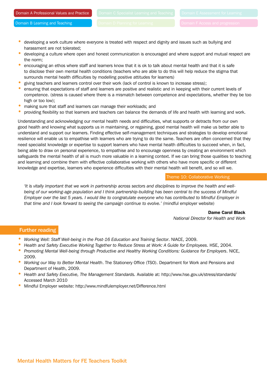- developing a work culture where everyone is treated with respect and dignity and issues such as bullying and harassment are not tolerated;
- developing a culture where open and honest communication is encouraged and where support and mutual respect are the norm;
- encouraging an ethos where staff and learners know that it is ok to talk about mental health and that it is safe to disclose their own mental health conditions (teachers who are able to do this will help reduce the stigma that surrounds mental health difficulties by modelling positive attitudes for learners)
- giving teachers and learners control over their work (lack of control is known to increase stress);
- ensuring that expectations of staff and learners are positive and realistic and in keeping with their current levels of competence. (stress is caused where there is a mismatch between competence and expectations, whether they be too high or too low);
- making sure that staff and learners can manage their workloads; and
- providing flexibility so that learners and teachers can balance the demands of life and health with learning and work.

Understanding and acknowledging our mental health needs and difficulties, what supports or detracts from our own good health and knowing what supports us in maintaining, or regaining, good mental health will make us better able to understand and support our learners. Finding effective self-management techniques and strategies to develop emotional resilience will enable us to empathise with learners who are trying to do the same. Teachers are often concerned that they need specialist knowledge or expertise to support learners who have mental health difficulties to succeed when, in fact, being able to draw on personal experience, to empathise and to encourage openness by creating an environment which safeguards the mental health of all is much more valuable in a learning context. If we can bring those qualities to teaching and learning and combine them with effective collaborative working with others who have more specific or different knowledge and expertise, learners who experience difficulties with their mental health will benefit, and so will we.

#### Theme 10: Collaborative Working

*'It is vitally important that we work in partnership across sectors and disciplines to improve the health and wellbeing of our working-age population and I think partnership-building has been central to the success of Mindful Employer over the last 5 years. I would like to congratulate everyone who has contributed to Mindful Employer in that time and I look forward to seeing the campaign continue to evolve.' (*mindful employer website)

> Dame Carol Black *National Director for Health and Work*

#### Further reading

- *Working Well: Staff Well-being in the Post-16 Education and Training Sector*. NIACE, 2009.
- *Health and Safety Executive Working Together to Reduce Stress at Work: A Guide for Employees*. HSE, 2004.
- *Promoting Mental Well-being through Productive and Healthy Working Conditions: Guidance for Employers*. NICE, 2009.
- *Working our Way to Better Mental Health*. The Stationery Office (TSO). Department for Work and Pensions and Department of Health, 2009.
- *Health and Safety Executive, The Management Standards.* Available at: http://www.hse.gov.uk/stress/standards/ Accessed March 2010
- Mindful Employer website: http://www.mindfulemployer.net/Difference.html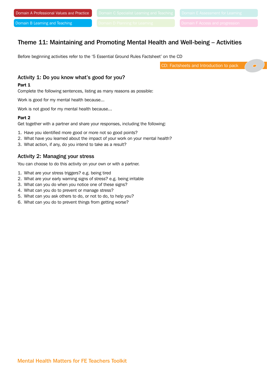## Theme 11: Maintaining and Promoting Mental Health and Well-being – Activities

Before beginning activities refer to the '5 Essential Ground Rules Factsheet' on the CD

CD: Factsheets and Introduction to pack

#### Activity 1: Do you know what's good for you?

#### Part 1

Complete the following sentences, listing as many reasons as possible:

Work is good for my mental health because...

Work is not good for my mental health because...

#### Part 2

Get together with a partner and share your responses, including the following:

- 1. Have you identified more good or more not so good points?
- 2. What have you learned about the impact of your work on your mental health?
- 3. What action, if any, do you intend to take as a result?

#### Activity 2: Managing your stress

You can choose to do this activity on your own or with a partner.

- 1. What are your stress triggers? e.g. being tired
- 2. What are your early warning signs of stress? e.g. being irritable
- 3. What can you do when you notice one of these signs?
- 4. What can you do to prevent or manage stress?
- 5. What can you ask others to do, or not to do, to help you?
- 6. What can you do to prevent things from getting worse?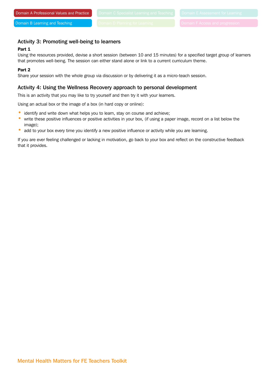#### Activity 3: Promoting well-being to learners

#### Part 1

Using the resources provided, devise a short session (between 10 and 15 minutes) for a specified target group of learners that promotes well-being. The session can either stand alone or link to a current curriculum theme.

#### Part 2

Share your session with the whole group via discussion or by delivering it as a micro-teach session.

#### Activity 4: Using the Wellness Recovery approach to personal development

This is an activity that you may like to try yourself and then try it with your learners.

Using an actual box or the image of a box (in hard copy or online):

- identify and write down what helps you to learn, stay on course and achieve;
- write these positive influences or positive activities in your box, (if using a paper image, record on a list below the image);
- add to your box every time you identify a new positive influence or activity while you are learning.

If you are ever feeling challenged or lacking in motivation, go back to your box and reflect on the constructive feedback that it provides.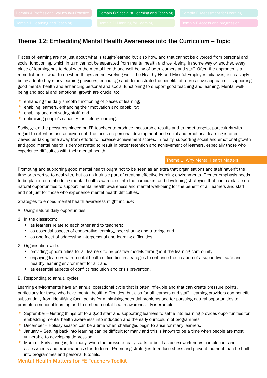## Theme 12: Embedding Mental Health Awareness into the Curriculum – Topic

Places of learning are not just about what is taught/learned but also how, and that cannot be divorced from personal and social functioning, which in turn cannot be separated from mental health and well-being. In some way or another, every place of learning has to deal with the mental health and well-being of both learners and staff. Often the approach is a remedial one – what to do when things are not working well. The Healthy FE and Mindful Employer initiatives, increasingly being adopted by many learning providers, encourage and demonstrate the benefits of a pro active approach to supporting good mental health and enhancing personal and social functioning to support good teaching and learning. Mental wellbeing and social and emotional growth are crucial to:

- enhancing the daily smooth functioning of places of learning;
- enabling learners, enhancing their motivation and capability;
- enabling and motivating staff; and
- optimising people's capacity for lifelong learning.

Sadly, given the pressures placed on FE teachers to produce measurable results and to meet targets, particularly with regard to retention and achievement, the focus on personal development and social and emotional learning is often viewed as taking time away from efforts to increase achievement scores. In reality, supporting social and emotional growth and good mental health is demonstrated to result in better retention and achievement of learners, especially those who experience difficulties with their mental health.

#### Theme 1: Why Mental Health Matters

Promoting and supporting good mental health ought not to be seen as an extra that organisations and staff haven't the time or expertise to deal with, but as an intrinsic part of creating effective learning environments. Greater emphasis needs to be placed on embedding mental health awareness into the curriculum and developing strategies that can capitalise on natural opportunities to support mental health awareness and mental well-being for the benefit of all learners and staff and not just for those who experience mental health difficulties.

Strategies to embed mental health awareness might include:

- A. Using natural daily opportunities
- 1. In the classroom:
	- as learners relate to each other and to teachers;
	- as essential aspects of cooperative learning, peer sharing and tutoring; and
	- as one facet of addressing interpersonal and learning difficulties.
- 2. Organisation-wide:
	- • providing opportunities for all learners to be positive models throughout the learning community;
	- • engaging learners with mental health difficulties in strategies to enhance the creation of a supportive, safe and healthy learning environment for all; and
	- as essential aspects of conflict resolution and crisis prevention.
- B. Responding to annual cycles

Learning environments have an annual operational cycle that is often inflexible and that can create pressure points, particularly for those who have mental health difficulties, but also for all learners and staff. Learning providers can benefit substantially from identifying focal points for minimising potential problems and for pursuing natural opportunities to promote emotional learning and to embed mental health awareness. For example:

- September Getting things off to a good start and supporting learners to settle into learning provides opportunities for embedding mental health awareness into induction and the early curriculum of programmes.
- December Holiday season can be a time when challenges begin to arise for many learners.
- January Settling back into learning can be difficult for many and this is known to be a time when people are most vulnerable to developing depression.
- March Early spring is, for many, when the pressure really starts to build as coursework nears completion, and assessments and examinations start to loom. Promoting strategies to reduce stress and prevent 'burnout' can be built into programmes and personal tutorials.

#### Mental Health Matters for FE Teachers Toolkit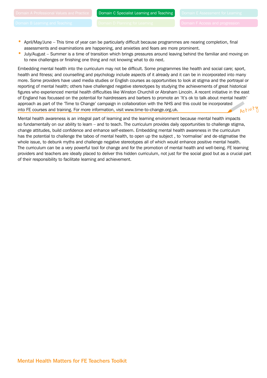- April/May/June This time of year can be particularly difficult because programmes are nearing completion, final assessments and examinations are happening, and anxieties and fears are more prominent.
- July/August Summer is a time of transition which brings pressures around leaving behind the familiar and moving on to new challenges or finishing one thing and not knowing what to do next.

Embedding mental health into the curriculum may not be difficult. Some programmes like health and social care; sport, health and fitness; and counselling and psychology include aspects of it already and it can be in incorporated into many more. Some providers have used media studies or English courses as opportunities to look at stigma and the portrayal or reporting of mental health; others have challenged negative stereotypes by studying the achievements of great historical figures who experienced mental health difficulties like Winston Churchill or Abraham Lincoln. A recent initiative in the east of England has focussed on the potential for hairdressers and barbers to promote an 'It's ok to talk about mental health' approach as part of the 'Time to Change' campaign in collaboration with the NHS and this could be incorporated into FE courses and training. For more information, visit www.time-to-change.org.uk. Activity

Mental health awareness is an integral part of learning and the learning environment because mental health impacts so fundamentally on our ability to learn – and to teach. The curriculum provides daily opportunities to challenge stigma, change attitudes, build confidence and enhance self-esteem. Embedding mental health awareness in the curriculum has the potential to challenge the taboo of mental health, to open up the subject , to 'normalise' and de-stigmatise the whole issue, to debunk myths and challenge negative stereotypes all of which would enhance positive mental health. The curriculum can be a very powerful tool for change and for the promotion of mental health and well-being. FE learning providers and teachers are ideally placed to deliver this hidden curriculum, not just for the social good but as a crucial part of their responsibility to facilitate learning and achievement.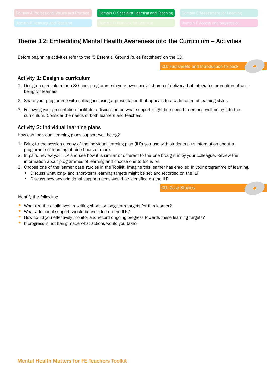## Theme 12: Embedding Mental Health Awareness into the Curriculum – Activities

Before beginning activities refer to the '5 Essential Ground Rules Factsheet' on the CD.

CD: Factsheets and Introduction to pack

#### Activity 1: Design a curriculum

- 1. Design a curriculum for a 30-hour programme in your own specialist area of delivery that integrates promotion of wellbeing for learners.
- 2. Share your programme with colleagues using a presentation that appeals to a wide range of learning styles.
- 3. Following your presentation facilitate a discussion on what support might be needed to embed well-being into the curriculum. Consider the needs of both learners and teachers.

#### Activity 2: Individual learning plans

How can individual learning plans support well-being?

- 1. Bring to the session a copy of the individual learning plan (ILP) you use with students plus information about a programme of learning of nine hours or more.
- 2. In pairs, review your ILP and see how it is similar or different to the one brought in by your colleague. Review the information about programmes of learning and choose one to focus on.
- 3. Choose one of the learner case studies in the Toolkit. Imagine this learner has enrolled in your programme of learning.
	- Discuss what long- and short-term learning targets might be set and recorded on the ILP.
	- Discuss how any additional support needs would be identified on the ILP.

CD: Case Studies

#### Identify the following:

- What are the challenges in writing short- or long-term targets for this learner?
- What additional support should be included on the ILP?
- How could you effectively monitor and record ongoing progress towards these learning targets?
- If progress is not being made what actions would you take?